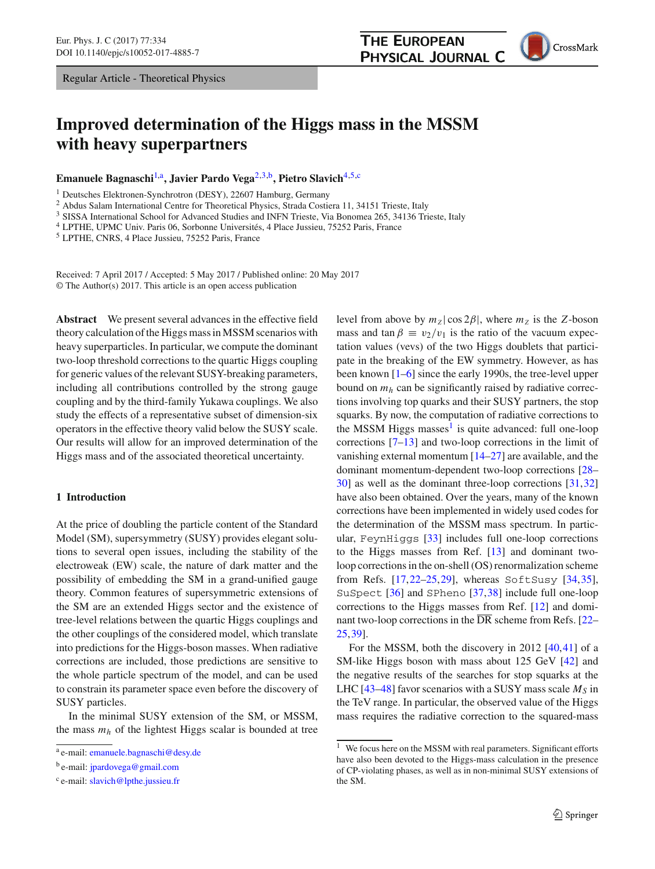## **THE EUROPEAN** PHYSICAL JOURNAL C

CrossMark

# **Improved determination of the Higgs mass in the MSSM with heavy superpartners**

**Emanuele Bagnaschi**[1,](#page-0-0)a**, Javier Pardo Vega**[2,](#page-0-0)[3,](#page-0-1)b**, Pietro Slavich**[4](#page-0-2)[,5,](#page-0-3)c

<sup>1</sup> Deutsches Elektronen-Synchrotron (DESY), 22607 Hamburg, Germany

<sup>2</sup> Abdus Salam International Centre for Theoretical Physics, Strada Costiera 11, 34151 Trieste, Italy

<sup>3</sup> SISSA International School for Advanced Studies and INFN Trieste, Via Bonomea 265, 34136 Trieste, Italy

<sup>4</sup> LPTHE, UPMC Univ. Paris 06, Sorbonne Universités, 4 Place Jussieu, 75252 Paris, France

<sup>5</sup> LPTHE, CNRS, 4 Place Jussieu, 75252 Paris, France

Received: 7 April 2017 / Accepted: 5 May 2017 / Published online: 20 May 2017 © The Author(s) 2017. This article is an open access publication

**Abstract** We present several advances in the effective field theory calculation of the Higgs mass in MSSM scenarios with heavy superparticles. In particular, we compute the dominant two-loop threshold corrections to the quartic Higgs coupling for generic values of the relevant SUSY-breaking parameters, including all contributions controlled by the strong gauge coupling and by the third-family Yukawa couplings. We also study the effects of a representative subset of dimension-six operators in the effective theory valid below the SUSY scale. Our results will allow for an improved determination of the Higgs mass and of the associated theoretical uncertainty.

## <span id="page-0-5"></span>**1 Introduction**

At the price of doubling the particle content of the Standard Model (SM), supersymmetry (SUSY) provides elegant solutions to several open issues, including the stability of the electroweak (EW) scale, the nature of dark matter and the possibility of embedding the SM in a grand-unified gauge theory. Common features of supersymmetric extensions of the SM are an extended Higgs sector and the existence of tree-level relations between the quartic Higgs couplings and the other couplings of the considered model, which translate into predictions for the Higgs-boson masses. When radiative corrections are included, those predictions are sensitive to the whole particle spectrum of the model, and can be used to constrain its parameter space even before the discovery of SUSY particles.

In the minimal SUSY extension of the SM, or MSSM, the mass  $m_h$  of the lightest Higgs scalar is bounded at tree <span id="page-0-3"></span><span id="page-0-2"></span><span id="page-0-1"></span><span id="page-0-0"></span>level from above by  $m_Z |\cos 2\beta|$ , where  $m_Z$  is the *Z*-boson mass and tan  $\beta = v_2/v_1$  is the ratio of the vacuum expectation values (vevs) of the two Higgs doublets that participate in the breaking of the EW symmetry. However, as has been known [\[1](#page-15-0)[–6\]](#page-15-1) since the early 1990s, the tree-level upper bound on  $m_h$  can be significantly raised by radiative corrections involving top quarks and their SUSY partners, the stop squarks. By now, the computation of radiative corrections to the MSSM Higgs masses<sup>[1](#page-0-4)</sup> is quite advanced: full one-loop corrections [\[7](#page-15-2)[–13\]](#page-15-3) and two-loop corrections in the limit of vanishing external momentum [\[14](#page-16-0)[–27](#page-16-1)] are available, and the dominant momentum-dependent two-loop corrections [\[28](#page-16-2)– [30](#page-16-3)] as well as the dominant three-loop corrections [\[31,](#page-16-4)[32\]](#page-16-5) have also been obtained. Over the years, many of the known corrections have been implemented in widely used codes for the determination of the MSSM mass spectrum. In particular, FeynHiggs [\[33\]](#page-16-6) includes full one-loop corrections to the Higgs masses from Ref. [\[13](#page-15-3)] and dominant twoloop corrections in the on-shell (OS) renormalization scheme from Refs. [\[17](#page-16-7),[22](#page-16-8)[–25,](#page-16-9)[29\]](#page-16-10), whereas SoftSusy [\[34](#page-16-11)[,35](#page-16-12)], SuSpect [\[36](#page-16-13)] and SPheno [\[37](#page-16-14)[,38](#page-16-15)] include full one-loop corrections to the Higgs masses from Ref. [\[12\]](#page-15-4) and dominant two-loop corrections in the DR scheme from Refs. [\[22](#page-16-8)– [25](#page-16-9)[,39](#page-16-16)].

For the MSSM, both the discovery in 2012 [\[40](#page-16-17)[,41](#page-16-18)] of a SM-like Higgs boson with mass about 125 GeV [\[42\]](#page-16-19) and the negative results of the searches for stop squarks at the LHC  $[43-48]$  $[43-48]$  favor scenarios with a SUSY mass scale  $M<sub>S</sub>$  in the TeV range. In particular, the observed value of the Higgs mass requires the radiative correction to the squared-mass

<sup>a</sup> e-mail: [emanuele.bagnaschi@desy.de](mailto:emanuele.bagnaschi@desy.de)

<sup>b</sup> e-mail: [jpardovega@gmail.com](mailto:jpardovega@gmail.com)

<sup>c</sup> e-mail: [slavich@lpthe.jussieu.fr](mailto:slavich@lpthe.jussieu.fr)

<span id="page-0-4"></span> $1$  We focus here on the MSSM with real parameters. Significant efforts have also been devoted to the Higgs-mass calculation in the presence of CP-violating phases, as well as in non-minimal SUSY extensions of the SM.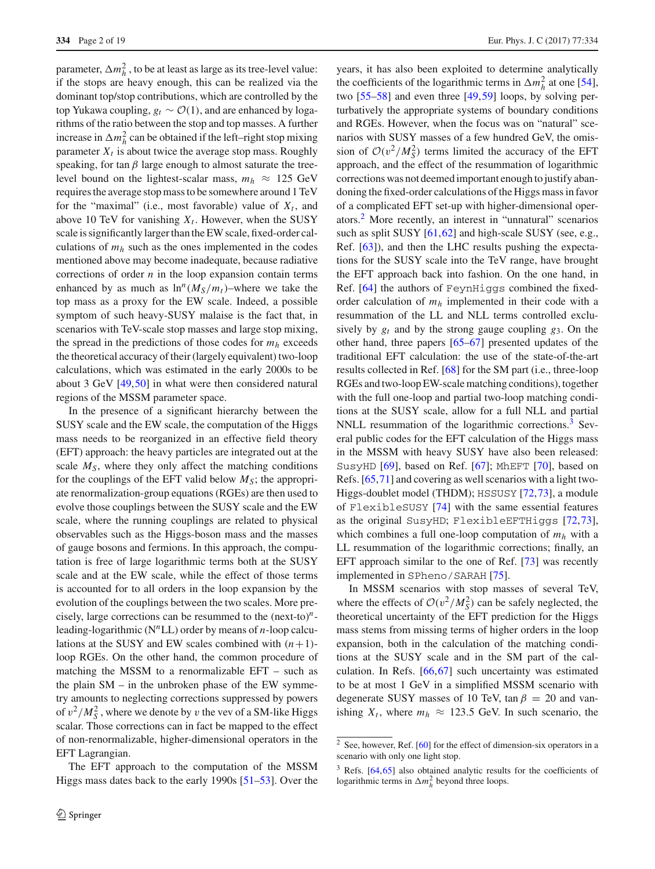parameter,  $\Delta m_h^2$ , to be at least as large as its tree-level value: if the stops are heavy enough, this can be realized via the dominant top/stop contributions, which are controlled by the top Yukawa coupling,  $g_t \sim \mathcal{O}(1)$ , and are enhanced by logarithms of the ratio between the stop and top masses. A further increase in  $\Delta m_h^2$  can be obtained if the left–right stop mixing parameter  $X_t$  is about twice the average stop mass. Roughly speaking, for tan  $\beta$  large enough to almost saturate the treelevel bound on the lightest-scalar mass,  $m_h \approx 125 \text{ GeV}$ requires the average stop mass to be somewhere around 1 TeV for the "maximal" (i.e., most favorable) value of  $X_t$ , and above 10 TeV for vanishing  $X_t$ . However, when the SUSY scale is significantly larger than the EW scale, fixed-order calculations of  $m_h$  such as the ones implemented in the codes mentioned above may become inadequate, because radiative corrections of order *n* in the loop expansion contain terms enhanced by as much as  $\ln^{n}(M_{S}/m_{t})$ –where we take the top mass as a proxy for the EW scale. Indeed, a possible symptom of such heavy-SUSY malaise is the fact that, in scenarios with TeV-scale stop masses and large stop mixing, the spread in the predictions of those codes for  $m_h$  exceeds the theoretical accuracy of their (largely equivalent) two-loop calculations, which was estimated in the early 2000s to be about 3 GeV [\[49,](#page-16-22)[50\]](#page-17-0) in what were then considered natural regions of the MSSM parameter space.

In the presence of a significant hierarchy between the SUSY scale and the EW scale, the computation of the Higgs mass needs to be reorganized in an effective field theory (EFT) approach: the heavy particles are integrated out at the scale  $M<sub>S</sub>$ , where they only affect the matching conditions for the couplings of the EFT valid below  $M<sub>S</sub>$ ; the appropriate renormalization-group equations (RGEs) are then used to evolve those couplings between the SUSY scale and the EW scale, where the running couplings are related to physical observables such as the Higgs-boson mass and the masses of gauge bosons and fermions. In this approach, the computation is free of large logarithmic terms both at the SUSY scale and at the EW scale, while the effect of those terms is accounted for to all orders in the loop expansion by the evolution of the couplings between the two scales. More precisely, large corrections can be resummed to the (next-to)*n*leading-logarithmic (N*n*LL) order by means of *n*-loop calculations at the SUSY and EW scales combined with  $(n+1)$ loop RGEs. On the other hand, the common procedure of matching the MSSM to a renormalizable EFT – such as the plain SM – in the unbroken phase of the EW symmetry amounts to neglecting corrections suppressed by powers of  $v^2/M_S^2$ , where we denote by v the vev of a SM-like Higgs scalar. Those corrections can in fact be mapped to the effect of non-renormalizable, higher-dimensional operators in the EFT Lagrangian.

The EFT approach to the computation of the MSSM Higgs mass dates back to the early 1990s [\[51](#page-17-1)[–53](#page-17-2)]. Over the years, it has also been exploited to determine analytically the coefficients of the logarithmic terms in  $\Delta m_h^2$  at one [\[54](#page-17-3)], two [\[55](#page-17-4)[–58\]](#page-17-5) and even three [\[49](#page-16-22)[,59](#page-17-6)] loops, by solving perturbatively the appropriate systems of boundary conditions and RGEs. However, when the focus was on "natural" scenarios with SUSY masses of a few hundred GeV, the omission of  $O(v^2/M_S^2)$  terms limited the accuracy of the EFT approach, and the effect of the resummation of logarithmic corrections was not deemed important enough to justify abandoning the fixed-order calculations of the Higgs mass in favor of a complicated EFT set-up with higher-dimensional operators[.2](#page-1-0) More recently, an interest in "unnatural" scenarios such as split SUSY [\[61](#page-17-7)[,62](#page-17-8)] and high-scale SUSY (see, e.g., Ref. [\[63\]](#page-17-9)), and then the LHC results pushing the expectations for the SUSY scale into the TeV range, have brought the EFT approach back into fashion. On the one hand, in Ref. [\[64\]](#page-17-10) the authors of FeynHiggs combined the fixedorder calculation of *mh* implemented in their code with a resummation of the LL and NLL terms controlled exclusively by *gt* and by the strong gauge coupling *g*3. On the other hand, three papers [\[65](#page-17-11)[–67](#page-17-12)] presented updates of the traditional EFT calculation: the use of the state-of-the-art results collected in Ref. [\[68\]](#page-17-13) for the SM part (i.e., three-loop RGEs and two-loop EW-scale matching conditions), together with the full one-loop and partial two-loop matching conditions at the SUSY scale, allow for a full NLL and partial NNLL resummation of the logarithmic corrections. $3$  Several public codes for the EFT calculation of the Higgs mass in the MSSM with heavy SUSY have also been released: SusyHD [\[69\]](#page-17-14), based on Ref. [\[67](#page-17-12)]; MhEFT [\[70\]](#page-17-15), based on Refs. [\[65](#page-17-11)[,71](#page-17-16)] and covering as well scenarios with a light two-Higgs-doublet model (THDM); HSSUSY [\[72](#page-17-17)[,73](#page-17-18)], a module of FlexibleSUSY [\[74\]](#page-17-19) with the same essential features as the original SusyHD; FlexibleEFTHiggs [\[72](#page-17-17)[,73](#page-17-18)], which combines a full one-loop computation of *mh* with a LL resummation of the logarithmic corrections; finally, an EFT approach similar to the one of Ref. [\[73\]](#page-17-18) was recently implemented in SPheno/SARAH [\[75](#page-17-20)].

In MSSM scenarios with stop masses of several TeV, where the effects of  $O(v^2/M_S^2)$  can be safely neglected, the theoretical uncertainty of the EFT prediction for the Higgs mass stems from missing terms of higher orders in the loop expansion, both in the calculation of the matching conditions at the SUSY scale and in the SM part of the calculation. In Refs. [\[66](#page-17-21)[,67](#page-17-12)] such uncertainty was estimated to be at most 1 GeV in a simplified MSSM scenario with degenerate SUSY masses of 10 TeV,  $tan \beta = 20$  and vanishing  $X_t$ , where  $m_h \approx 123.5$  GeV. In such scenario, the

<span id="page-1-0"></span><sup>&</sup>lt;sup>2</sup> See, however, Ref.  $[60]$  $[60]$  for the effect of dimension-six operators in a scenario with only one light stop.

<span id="page-1-1"></span> $3$  Refs. [\[64](#page-17-10)[,65\]](#page-17-11) also obtained analytic results for the coefficients of logarithmic terms in  $\Delta m_h^2$  beyond three loops.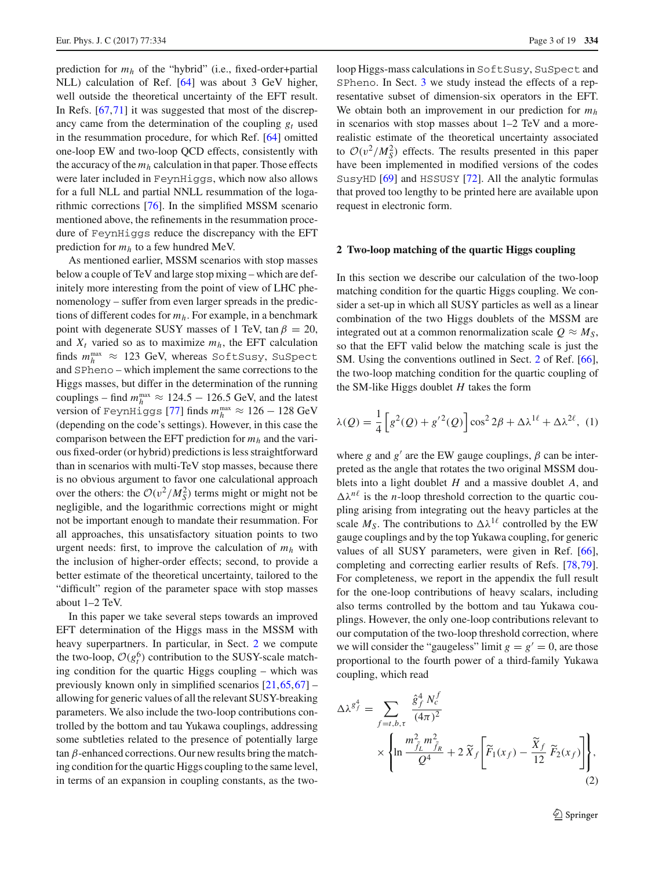prediction for *mh* of the "hybrid" (i.e., fixed-order+partial NLL) calculation of Ref. [\[64](#page-17-10)] was about 3 GeV higher, well outside the theoretical uncertainty of the EFT result. In Refs. [\[67](#page-17-12)[,71](#page-17-16)] it was suggested that most of the discrepancy came from the determination of the coupling  $g_t$  used in the resummation procedure, for which Ref. [\[64](#page-17-10)] omitted one-loop EW and two-loop QCD effects, consistently with the accuracy of the  $m_h$  calculation in that paper. Those effects were later included in FeynHiggs, which now also allows for a full NLL and partial NNLL resummation of the logarithmic corrections [\[76](#page-17-23)]. In the simplified MSSM scenario mentioned above, the refinements in the resummation procedure of FeynHiggs reduce the discrepancy with the EFT prediction for *mh* to a few hundred MeV.

As mentioned earlier, MSSM scenarios with stop masses below a couple of TeV and large stop mixing – which are definitely more interesting from the point of view of LHC phenomenology – suffer from even larger spreads in the predictions of different codes for *mh*. For example, in a benchmark point with degenerate SUSY masses of 1 TeV, tan  $\beta = 20$ , and  $X_t$  varied so as to maximize  $m_h$ , the EFT calculation finds  $m_h^{\text{max}} \approx 123$  GeV, whereas SoftSusy, SuSpect and SPheno – which implement the same corrections to the Higgs masses, but differ in the determination of the running couplings – find  $m_h^{\text{max}} \approx 124.5 - 126.5$  GeV, and the latest version of FeynHiggs [\[77\]](#page-17-24) finds  $m_h^{\text{max}} \approx 126 - 128 \text{ GeV}$ (depending on the code's settings). However, in this case the comparison between the EFT prediction for  $m_h$  and the various fixed-order (or hybrid) predictions is less straightforward than in scenarios with multi-TeV stop masses, because there is no obvious argument to favor one calculational approach over the others: the  $O(v^2/M_S^2)$  terms might or might not be negligible, and the logarithmic corrections might or might not be important enough to mandate their resummation. For all approaches, this unsatisfactory situation points to two urgent needs: first, to improve the calculation of *mh* with the inclusion of higher-order effects; second, to provide a better estimate of the theoretical uncertainty, tailored to the "difficult" region of the parameter space with stop masses about 1–2 TeV.

In this paper we take several steps towards an improved EFT determination of the Higgs mass in the MSSM with heavy superpartners. In particular, in Sect. [2](#page-2-0) we compute the two-loop,  $O(g_t^6)$  contribution to the SUSY-scale matching condition for the quartic Higgs coupling – which was previously known only in simplified scenarios [\[21,](#page-16-23)[65](#page-17-11)[,67](#page-17-12)] – allowing for generic values of all the relevant SUSY-breaking parameters. We also include the two-loop contributions controlled by the bottom and tau Yukawa couplings, addressing some subtleties related to the presence of potentially large tan  $\beta$ -enhanced corrections. Our new results bring the matching condition for the quartic Higgs coupling to the same level, in terms of an expansion in coupling constants, as the twoloop Higgs-mass calculations in SoftSusy, SuSpect and SPheno. In Sect. [3](#page-7-0) we study instead the effects of a representative subset of dimension-six operators in the EFT. We obtain both an improvement in our prediction for *mh* in scenarios with stop masses about 1–2 TeV and a morerealistic estimate of the theoretical uncertainty associated to  $O(v^2/M_S^2)$  effects. The results presented in this paper have been implemented in modified versions of the codes SusyHD [\[69](#page-17-14)] and HSSUSY [\[72](#page-17-17)]. All the analytic formulas that proved too lengthy to be printed here are available upon request in electronic form.

#### <span id="page-2-0"></span>**2 Two-loop matching of the quartic Higgs coupling**

In this section we describe our calculation of the two-loop matching condition for the quartic Higgs coupling. We consider a set-up in which all SUSY particles as well as a linear combination of the two Higgs doublets of the MSSM are integrated out at a common renormalization scale  $Q \approx M_S$ , so that the EFT valid below the matching scale is just the SM. Using the conventions outlined in Sect. [2](#page-2-0) of Ref. [\[66](#page-17-21)], the two-loop matching condition for the quartic coupling of the SM-like Higgs doublet *H* takes the form

<span id="page-2-2"></span>
$$
\lambda(Q) = \frac{1}{4} \left[ g^2(Q) + g'^2(Q) \right] \cos^2 2\beta + \Delta \lambda^{1\ell} + \Delta \lambda^{2\ell}, \tag{1}
$$

where *g* and  $g'$  are the EW gauge couplings,  $\beta$  can be interpreted as the angle that rotates the two original MSSM doublets into a light doublet *H* and a massive doublet *A*, and  $\Delta \lambda^{n\ell}$  is the *n*-loop threshold correction to the quartic coupling arising from integrating out the heavy particles at the scale  $M_S$ . The contributions to  $\Delta \lambda^{1\ell}$  controlled by the EW gauge couplings and by the top Yukawa coupling, for generic values of all SUSY parameters, were given in Ref. [\[66](#page-17-21)], completing and correcting earlier results of Refs. [\[78](#page-17-25)[,79](#page-17-26)]. For completeness, we report in the appendix the full result for the one-loop contributions of heavy scalars, including also terms controlled by the bottom and tau Yukawa couplings. However, the only one-loop contributions relevant to our computation of the two-loop threshold correction, where we will consider the "gaugeless" limit  $g = g' = 0$ , are those proportional to the fourth power of a third-family Yukawa coupling, which read

<span id="page-2-1"></span>
$$
\Delta \lambda^{g_f^4} = \sum_{f=t,b,\tau} \frac{\hat{g}_f^4 N_c^f}{(4\pi)^2}
$$

$$
\times \left\{ \ln \frac{m_{\tilde{f}_L}^2 m_{\tilde{f}_R}^2}{Q^4} + 2 \widetilde{X}_f \left[ \widetilde{F}_1(x_f) - \frac{\widetilde{X}_f}{12} \widetilde{F}_2(x_f) \right] \right\}, \tag{2}
$$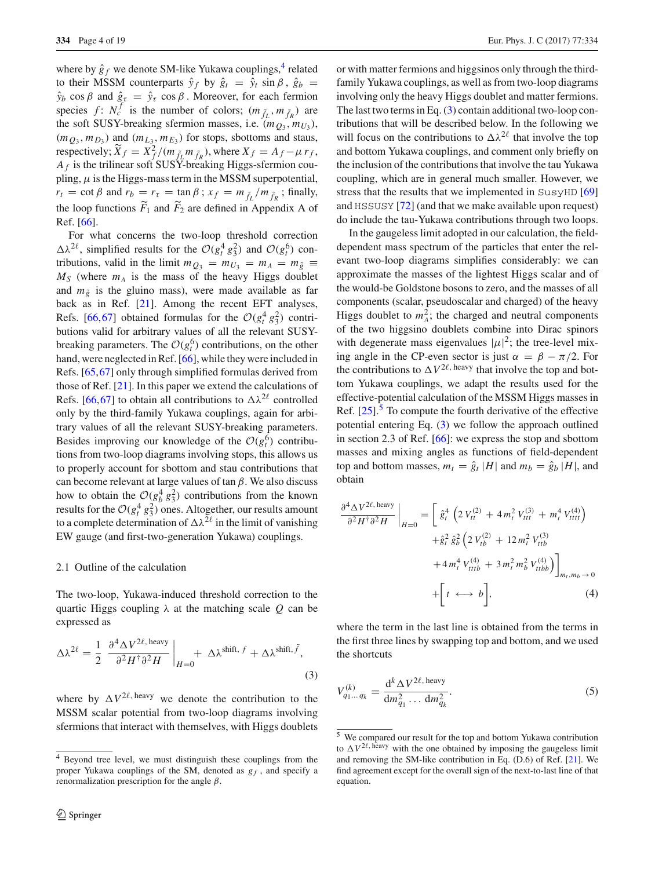where by  $\hat{g}_f$  we denote SM-like Yukawa couplings,  $\frac{4}{3}$  $\frac{4}{3}$  $\frac{4}{3}$  related to their MSSM counterparts  $\hat{y}_f$  by  $\hat{g}_t = \hat{y}_t \sin \beta$ ,  $\hat{g}_b$  =  $\hat{y}_b$  cos  $\beta$  and  $\hat{g}_\tau = \hat{y}_\tau \cos \beta$ . Moreover, for each fermion species  $f: N_c^f$  is the number of colors;  $(m_{\tilde{f}_L}, m_{\tilde{f}_R})$  are the soft SUSY-breaking sfermion masses, i.e.  $(m_{Q_3}, m_{U_3})$ ,  $(m_{Q_3}, m_{D_3})$  and  $(m_{L_3}, m_{E_3})$  for stops, sbottoms and staus, respectively;  $\widetilde{X}_f = X_f^2 / (m_{\tilde{f}_L} m_{\tilde{f}_R})$ , where  $X_f = A_f - \mu r_f$ ,  $A_f$  is the trilinear soft SUSY-breaking Higgs-sfermion coupling,  $\mu$  is the Higgs-mass term in the MSSM superpotential,  $r_t = \cot \beta$  and  $r_b = r_\tau = \tan \beta$ ;  $x_f = m_{\tilde{f}_L}/m_{\tilde{f}_R}$ ; finally, the loop functions  $F_1$  and  $F_2$  are defined in Appendix A of Ref. [\[66\]](#page-17-21).

For what concerns the two-loop threshold correction  $\Delta \lambda^{2\ell}$ , simplified results for the  $\mathcal{O}(g_t^4 g_3^2)$  and  $\mathcal{O}(g_t^6)$  contributions, valid in the limit  $m_{Q_3} = m_{U_3} = m_A = m_{\tilde{g}} \equiv$  $M<sub>S</sub>$  (where  $m<sub>A</sub>$  is the mass of the heavy Higgs doublet and  $m_{\tilde{g}}$  is the gluino mass), were made available as far back as in Ref. [\[21\]](#page-16-23). Among the recent EFT analyses, Refs. [\[66](#page-17-21),[67\]](#page-17-12) obtained formulas for the  $O(g_t^4 g_3^2)$  contributions valid for arbitrary values of all the relevant SUSYbreaking parameters. The  $\mathcal{O}(g_t^6)$  contributions, on the other hand, were neglected in Ref. [\[66](#page-17-21)], while they were included in Refs. [\[65](#page-17-11)[,67](#page-17-12)] only through simplified formulas derived from those of Ref. [\[21](#page-16-23)]. In this paper we extend the calculations of Refs. [\[66](#page-17-21)[,67](#page-17-12)] to obtain all contributions to  $\Delta \lambda^{2\ell}$  controlled only by the third-family Yukawa couplings, again for arbitrary values of all the relevant SUSY-breaking parameters. Besides improving our knowledge of the  $O(g_t^6)$  contributions from two-loop diagrams involving stops, this allows us to properly account for sbottom and stau contributions that can become relevant at large values of tan  $\beta$ . We also discuss how to obtain the  $\mathcal{O}(g_b^4 g_3^2)$  contributions from the known results for the  $O(g_t^4 g_3^2)$  ones. Altogether, our results amount to a complete determination of  $\Delta \lambda^{2\ell}$  in the limit of vanishing EW gauge (and first-two-generation Yukawa) couplings.

#### <span id="page-3-4"></span>2.1 Outline of the calculation

The two-loop, Yukawa-induced threshold correction to the quartic Higgs coupling λ at the matching scale *Q* can be expressed as

<span id="page-3-1"></span>
$$
\Delta\lambda^{2\ell} = \frac{1}{2} \left. \frac{\partial^4 \Delta V^{2\ell, \text{ heavy}}}{\partial^2 H^{\dagger} \partial^2 H} \right|_{H=0} + \Delta\lambda^{\text{shift}, f} + \Delta\lambda^{\text{shift}, \tilde{f}},
$$
\n(3)

where by  $\Delta V^{2\ell, \text{ heavy}}$  we denote the contribution to the MSSM scalar potential from two-loop diagrams involving sfermions that interact with themselves, with Higgs doublets or with matter fermions and higgsinos only through the thirdfamily Yukawa couplings, as well as from two-loop diagrams involving only the heavy Higgs doublet and matter fermions. The last two terms in Eq.  $(3)$  contain additional two-loop contributions that will be described below. In the following we will focus on the contributions to  $\Delta \lambda^{2\ell}$  that involve the top and bottom Yukawa couplings, and comment only briefly on the inclusion of the contributions that involve the tau Yukawa coupling, which are in general much smaller. However, we stress that the results that we implemented in SusyHD [\[69\]](#page-17-14) and HSSUSY [\[72\]](#page-17-17) (and that we make available upon request) do include the tau-Yukawa contributions through two loops.

In the gaugeless limit adopted in our calculation, the fielddependent mass spectrum of the particles that enter the relevant two-loop diagrams simplifies considerably: we can approximate the masses of the lightest Higgs scalar and of the would-be Goldstone bosons to zero, and the masses of all components (scalar, pseudoscalar and charged) of the heavy Higgs doublet to  $m_A^2$ ; the charged and neutral components of the two higgsino doublets combine into Dirac spinors with degenerate mass eigenvalues  $|\mu|^2$ ; the tree-level mixing angle in the CP-even sector is just  $\alpha = \beta - \pi/2$ . For the contributions to  $\Delta V^{2\ell}$ , heavy that involve the top and bottom Yukawa couplings, we adapt the results used for the effective-potential calculation of the MSSM Higgs masses in Ref.  $[25]$ <sup>[5](#page-3-2)</sup> To compute the fourth derivative of the effective potential entering Eq. [\(3\)](#page-3-1) we follow the approach outlined in section 2.3 of Ref. [\[66](#page-17-21)]: we express the stop and sbottom masses and mixing angles as functions of field-dependent top and bottom masses,  $m_t = \hat{g}_t |H|$  and  $m_b = \hat{g}_b |H|$ , and obtain

<span id="page-3-3"></span>
$$
\frac{\partial^4 \Delta V^{2\ell, \text{ heavy}}}{\partial^2 H^{\dagger} \partial^2 H} \Big|_{H=0} = \left[ \hat{g}_t^4 \left( 2 V_{tt}^{(2)} + 4 m_t^2 V_{ttt}^{(3)} + m_t^4 V_{tttt}^{(4)} \right) \right. \\
\left. + \hat{g}_t^2 \hat{g}_b^2 \left( 2 V_{tb}^{(2)} + 12 m_t^2 V_{ttb}^{(3)} \right. \\
\left. + 4 m_t^4 V_{tttb}^{(4)} + 3 m_t^2 m_b^2 V_{ttbb}^{(4)} \right) \right]_{m_t, m_b \to 0} \\
+ \left[ t \longleftrightarrow b \right], \tag{4}
$$

where the term in the last line is obtained from the terms in the first three lines by swapping top and bottom, and we used the shortcuts

<span id="page-3-5"></span>
$$
V_{q_1...q_k}^{(k)} = \frac{\mathrm{d}^k \Delta V^{2\ell, \text{ heavy}}}{\mathrm{d} m_{q_1}^2 \dots \mathrm{d} m_{q_k}^2}.
$$
 (5)

<span id="page-3-0"></span><sup>4</sup> Beyond tree level, we must distinguish these couplings from the proper Yukawa couplings of the SM, denoted as  $g_f$ , and specify a renormalization prescription for the angle β.

<span id="page-3-2"></span><sup>5</sup> We compared our result for the top and bottom Yukawa contribution to  $\Delta V^{2\ell, \text{ heavy}}$  with the one obtained by imposing the gaugeless limit and removing the SM-like contribution in Eq. (D.6) of Ref. [\[21\]](#page-16-23). We find agreement except for the overall sign of the next-to-last line of that equation.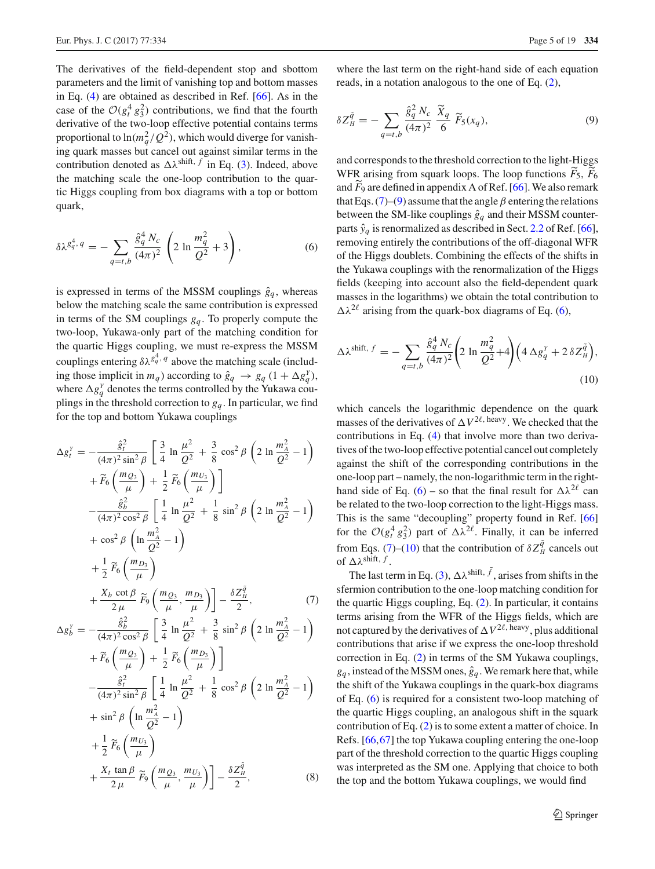The derivatives of the field-dependent stop and sbottom parameters and the limit of vanishing top and bottom masses in Eq. [\(4\)](#page-3-3) are obtained as described in Ref. [\[66\]](#page-17-21). As in the case of the  $O(g_t^4 g_3^2)$  contributions, we find that the fourth derivative of the two-loop effective potential contains terms proportional to  $\ln(m_q^2/Q^2)$ , which would diverge for vanishing quark masses but cancel out against similar terms in the contribution denoted as  $\Delta \lambda^{\text{shift}, f}$  in Eq. [\(3\)](#page-3-1). Indeed, above the matching scale the one-loop contribution to the quartic Higgs coupling from box diagrams with a top or bottom quark,

<span id="page-4-2"></span>
$$
\delta \lambda^{g_q^4, q} = -\sum_{q=t,b} \frac{\hat{g}_q^4 N_c}{(4\pi)^2} \left( 2 \ln \frac{m_q^2}{Q^2} + 3 \right), \tag{6}
$$

is expressed in terms of the MSSM couplings  $\hat{g}_q$ , whereas below the matching scale the same contribution is expressed in terms of the SM couplings  $g_q$ . To properly compute the two-loop, Yukawa-only part of the matching condition for the quartic Higgs coupling, we must re-express the MSSM couplings entering  $\delta \lambda^{g^4_q, q}$  above the matching scale (including those implicit in  $m_q$ ) according to  $\hat{g}_q \rightarrow g_q$  (1 +  $\Delta g_q^{\gamma}$ ), where  $\Delta g_q^{\gamma}$  denotes the terms controlled by the Yukawa couplings in the threshold correction to  $g_q$ . In particular, we find for the top and bottom Yukawa couplings

<span id="page-4-0"></span>
$$
\Delta g_t^{\gamma} = -\frac{\hat{g}_t^2}{(4\pi)^2 \sin^2 \beta} \left[ \frac{3}{4} \ln \frac{\mu^2}{Q^2} + \frac{3}{8} \cos^2 \beta \left( 2 \ln \frac{m_A^2}{Q^2} - 1 \right) \right. \left. + \widetilde{F}_6 \left( \frac{m_{Q_3}}{\mu} \right) + \frac{1}{2} \widetilde{F}_6 \left( \frac{m_{U_3}}{\mu} \right) \right] \left. -\frac{\hat{g}_b^2}{(4\pi)^2 \cos^2 \beta} \left[ \frac{1}{4} \ln \frac{\mu^2}{Q^2} + \frac{1}{8} \sin^2 \beta \left( 2 \ln \frac{m_A^2}{Q^2} - 1 \right) \right. \left. + \cos^2 \beta \left( \ln \frac{m_A^2}{Q^2} - 1 \right) \right. \left. + \frac{1}{2} \widetilde{F}_6 \left( \frac{m_{D_3}}{\mu} \right) \right. \left. + \frac{X_b \cot \beta}{2 \mu} \widetilde{F}_9 \left( \frac{m_{Q_3}}{\mu}, \frac{m_{D_3}}{\mu} \right) \right] - \frac{\delta Z_H^{\tilde{q}}}{2}, \tag{7}
$$

$$
\Delta g_b^{\gamma} = -\frac{\hat{g}_b^2}{(4\pi)^2 \cos^2 \beta} \left[ \frac{3}{4} \ln \frac{\mu^2}{Q^2} + \frac{3}{8} \sin^2 \beta \left( 2 \ln \frac{m_A^2}{Q^2} - 1 \right) \right.\n+ \widetilde{F}_6 \left( \frac{m_{Q_3}}{\mu} \right) + \frac{1}{2} \widetilde{F}_6 \left( \frac{m_{D_3}}{\mu} \right) \right]\n- \frac{\hat{g}_t^2}{(4\pi)^2 \sin^2 \beta} \left[ \frac{1}{4} \ln \frac{\mu^2}{Q^2} + \frac{1}{8} \cos^2 \beta \left( 2 \ln \frac{m_A^2}{Q^2} - 1 \right) \right.\n+ \sin^2 \beta \left( \ln \frac{m_A^2}{Q^2} - 1 \right)\n+ \frac{1}{2} \widetilde{F}_6 \left( \frac{m_{U_3}}{\mu} \right)\n+ \frac{X_t \tan \beta}{2 \mu} \widetilde{F}_9 \left( \frac{m_{Q_3}}{\mu}, \frac{m_{U_3}}{\mu} \right) \right] - \frac{\delta Z_H^{\tilde{q}}}{2}, \tag{8}
$$

<span id="page-4-1"></span>where the last term on the right-hand side of each equation reads, in a notation analogous to the one of Eq. [\(2\)](#page-2-1),

$$
\delta Z_H^{\tilde{q}} = -\sum_{q=t,b} \frac{\hat{g}_q^2 N_c}{(4\pi)^2} \frac{\widetilde{X}_q}{6} \widetilde{F}_5(x_q),\tag{9}
$$

and corresponds to the threshold correction to the light-Higgs WFR arising from squark loops. The loop functions  $F_5$ ,  $F_6$ and  $F_9$  are defined in appendix A of Ref. [\[66](#page-17-21)]. We also remark that Eqs. [\(7\)](#page-4-0)–[\(9\)](#page-4-1) assume that the angle  $\beta$  entering the relations between the SM-like couplings  $\hat{g}_q$  and their MSSM counterparts  $\hat{y}_q$  is renormalized as described in Sect. [2.2](#page-5-0) of Ref. [\[66](#page-17-21)], removing entirely the contributions of the off-diagonal WFR of the Higgs doublets. Combining the effects of the shifts in the Yukawa couplings with the renormalization of the Higgs fields (keeping into account also the field-dependent quark masses in the logarithms) we obtain the total contribution to  $\Delta \lambda^{2\ell}$  arising from the quark-box diagrams of Eq. [\(6\)](#page-4-2),

<span id="page-4-3"></span>
$$
\Delta \lambda^{\text{shift}, f} = -\sum_{q=t,b} \frac{\hat{g}_q^4 N_c}{(4\pi)^2} \left( 2 \ln \frac{m_q^2}{Q^2} + 4 \right) \left( 4 \Delta g_q^Y + 2 \delta Z_H^{\tilde{q}} \right),\tag{10}
$$

which cancels the logarithmic dependence on the quark masses of the derivatives of  $\Delta V^{2\ell}$ , heavy. We checked that the contributions in Eq. [\(4\)](#page-3-3) that involve more than two derivatives of the two-loop effective potential cancel out completely against the shift of the corresponding contributions in the one-loop part – namely, the non-logarithmic term in the right-hand side of Eq. [\(6\)](#page-4-2) – so that the final result for  $\Delta \lambda^{2\ell}$  can be related to the two-loop correction to the light-Higgs mass. This is the same "decoupling" property found in Ref. [\[66\]](#page-17-21) for the  $O(g_t^4 g_3^2)$  part of  $\Delta \lambda^{2\ell}$ . Finally, it can be inferred from Eqs. [\(7\)](#page-4-0)–[\(10\)](#page-4-3) that the contribution of  $\delta Z_H^{\tilde{q}}$  cancels out of  $\Delta \lambda^{\text{shift}, f}$ .

The last term in Eq. [\(3\)](#page-3-1),  $\Delta \lambda^{\text{shift}, \bar{f}}$ , arises from shifts in the sfermion contribution to the one-loop matching condition for the quartic Higgs coupling, Eq. [\(2\)](#page-2-1). In particular, it contains terms arising from the WFR of the Higgs fields, which are not captured by the derivatives of  $\Delta V^{2\ell, \text{ heavy}}$ , plus additional contributions that arise if we express the one-loop threshold correction in Eq. [\(2\)](#page-2-1) in terms of the SM Yukawa couplings,  $g_q$ , instead of the MSSM ones,  $\hat{g}_q$ . We remark here that, while the shift of the Yukawa couplings in the quark-box diagrams of Eq. [\(6\)](#page-4-2) is required for a consistent two-loop matching of the quartic Higgs coupling, an analogous shift in the squark contribution of Eq. [\(2\)](#page-2-1) is to some extent a matter of choice. In Refs. [\[66](#page-17-21)[,67](#page-17-12)] the top Yukawa coupling entering the one-loop part of the threshold correction to the quartic Higgs coupling was interpreted as the SM one. Applying that choice to both the top and the bottom Yukawa couplings, we would find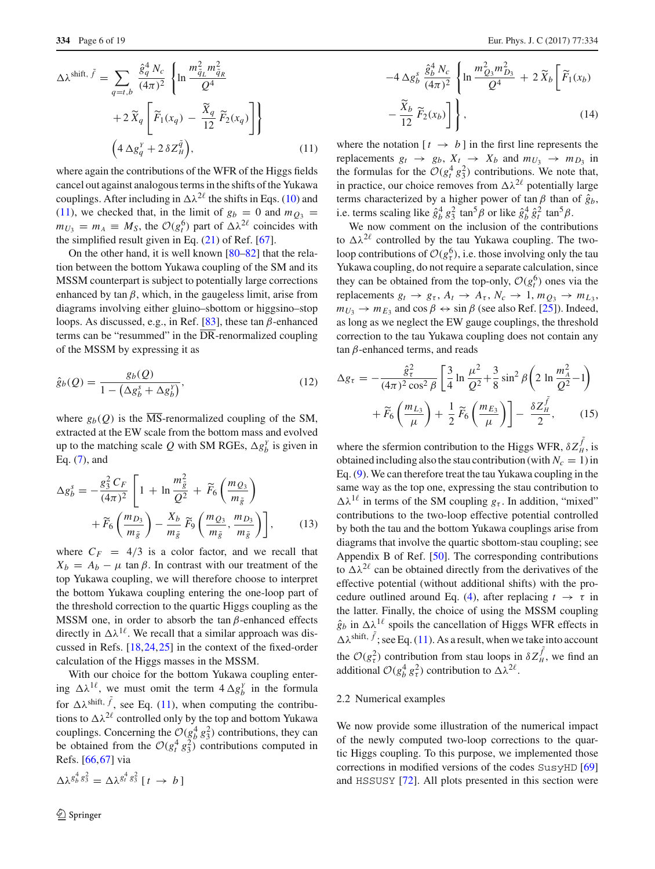<span id="page-5-1"></span>
$$
\Delta \lambda^{\text{shift}, \tilde{f}} = \sum_{q=t,b} \frac{\hat{g}_q^4 N_c}{(4\pi)^2} \left\{ \ln \frac{m_{\tilde{q}_L}^2 m_{\tilde{q}_R}^2}{Q^4} + 2 \widetilde{X}_q \left[ \widetilde{F}_1(x_q) - \frac{\widetilde{X}_q}{12} \widetilde{F}_2(x_q) \right] \right\}
$$
\n
$$
(4 \Delta g_q^V + 2 \delta Z_H^{\tilde{q}}), \qquad (11)
$$

where again the contributions of the WFR of the Higgs fields cancel out against analogous terms in the shifts of the Yukawa couplings. After including in  $\Delta \lambda^{2\ell}$  the shifts in Eqs. [\(10\)](#page-4-3) and [\(11\)](#page-5-1), we checked that, in the limit of  $g_b = 0$  and  $m_{0<sub>3</sub>} =$  $m_{U_3} = m_A \equiv M_S$ , the  $O(g_t^6)$  part of  $\Delta \lambda^{2\ell}$  coincides with the simplified result given in Eq. [\(21\)](#page-9-0) of Ref. [\[67\]](#page-17-12).

On the other hand, it is well known [\[80](#page-17-27)[–82](#page-17-28)] that the relation between the bottom Yukawa coupling of the SM and its MSSM counterpart is subject to potentially large corrections enhanced by tan  $\beta$ , which, in the gaugeless limit, arise from diagrams involving either gluino–sbottom or higgsino–stop loops. As discussed, e.g., in Ref. [\[83\]](#page-17-29), these tan  $\beta$ -enhanced terms can be "resummed" in the  $\overline{DR}$ -renormalized coupling of the MSSM by expressing it as

$$
\hat{g}_b(Q) = \frac{g_b(Q)}{1 - \left(\Delta g_b^s + \Delta g_b^Y\right)},\tag{12}
$$

where  $g_b(Q)$  is the  $\overline{\text{MS}}$ -renormalized coupling of the SM, extracted at the EW scale from the bottom mass and evolved up to the matching scale Q with SM RGEs,  $\Delta g_b^Y$  is given in Eq. [\(7\)](#page-4-0), and

$$
\Delta g_b^s = -\frac{g_3^2 C_F}{(4\pi)^2} \left[ 1 + \ln \frac{m_{\tilde{g}}^2}{Q^2} + \widetilde{F}_6 \left( \frac{m_{Q_3}}{m_{\tilde{g}}} \right) + \widetilde{F}_6 \left( \frac{m_{D_3}}{m_{\tilde{g}}} \right) - \frac{X_b}{m_{\tilde{g}}} \widetilde{F}_9 \left( \frac{m_{Q_3}}{m_{\tilde{g}}} , \frac{m_{D_3}}{m_{\tilde{g}}} \right) \right],
$$
(13)

where  $C_F = 4/3$  is a color factor, and we recall that  $X_b = A_b - \mu \tan \beta$ . In contrast with our treatment of the top Yukawa coupling, we will therefore choose to interpret the bottom Yukawa coupling entering the one-loop part of the threshold correction to the quartic Higgs coupling as the MSSM one, in order to absorb the tan  $\beta$ -enhanced effects directly in  $\Delta \lambda^{1\ell}$ . We recall that a similar approach was discussed in Refs. [\[18](#page-16-24)[,24](#page-16-25),[25\]](#page-16-9) in the context of the fixed-order calculation of the Higgs masses in the MSSM.

With our choice for the bottom Yukawa coupling entering  $\Delta \lambda^{1\ell}$ , we must omit the term  $4 \Delta g_b^{\gamma}$  in the formula for  $\Delta \lambda^{\text{shift}}$ , see Eq. [\(11\)](#page-5-1), when computing the contributions to  $\Delta \lambda^{2\ell}$  controlled only by the top and bottom Yukawa couplings. Concerning the  $\mathcal{O}(g_b^4 g_3^2)$  contributions, they can be obtained from the  $O(g_t^4 g_3^2)$  contributions computed in Refs. [\[66,](#page-17-21)[67\]](#page-17-12) via

$$
\Delta \lambda^{g_b^4 g_3^2} = \Delta \lambda^{g_t^4 g_3^2} [t \rightarrow b]
$$

$$
-4 \Delta g_b^s \frac{\hat{g}_b^4 N_c}{(4\pi)^2} \left\{ \ln \frac{m_{Q_3}^2 m_{D_3}^2}{Q^4} + 2 \widetilde{X}_b \left[ \widetilde{F}_1(x_b) - \frac{\widetilde{X}_b}{12} \widetilde{F}_2(x_b) \right] \right\},
$$
\n(14)

where the notation  $[t \rightarrow b]$  in the first line represents the replacements  $g_t \rightarrow g_b$ ,  $X_t \rightarrow X_b$  and  $m_{U_3} \rightarrow m_{D_3}$  in the formulas for the  $O(g_t^4 g_3^2)$  contributions. We note that, in practice, our choice removes from  $\Delta \lambda^{2\ell}$  potentially large terms characterized by a higher power of tan  $\beta$  than of  $\hat{g}_b$ , i.e. terms scaling like  $\hat{g}_b^4 g_3^2 \tan^5 \beta$  or like  $\hat{g}_b^4 \hat{g}_t^2 \tan^5 \beta$ .

We now comment on the inclusion of the contributions to  $\Delta \lambda^{2\ell}$  controlled by the tau Yukawa coupling. The twoloop contributions of  $\mathcal{O}(g_\tau^6)$ , i.e. those involving only the tau Yukawa coupling, do not require a separate calculation, since they can be obtained from the top-only,  $O(g_t^6)$  ones via the replacements  $g_t \to g_\tau$ ,  $A_t \to A_\tau$ ,  $N_c \to 1$ ,  $m_{Q_3} \to m_{L_3}$ ,  $m_{U_3} \rightarrow m_{E_3}$  and cos  $\beta \leftrightarrow \sin \beta$  (see also Ref. [\[25](#page-16-9)]). Indeed, as long as we neglect the EW gauge couplings, the threshold correction to the tau Yukawa coupling does not contain any tan  $β$ -enhanced terms, and reads

<span id="page-5-2"></span>
$$
\Delta g_{\tau} = -\frac{\hat{g}_{\tau}^2}{(4\pi)^2 \cos^2 \beta} \left[ \frac{3}{4} \ln \frac{\mu^2}{Q^2} + \frac{3}{8} \sin^2 \beta \left( 2 \ln \frac{m_A^2}{Q^2} - 1 \right) + \widetilde{F}_6 \left( \frac{m_{L_3}}{\mu} \right) + \frac{1}{2} \widetilde{F}_6 \left( \frac{m_{E_3}}{\mu} \right) \right] - \frac{\delta Z_H^{\tilde{f}}}{2}, \qquad (15)
$$

where the sfermion contribution to the Higgs WFR,  $\delta Z_H^f$ , is obtained including also the stau contribution (with  $N_c = 1$ ) in Eq. [\(9\)](#page-4-1). We can therefore treat the tau Yukawa coupling in the same way as the top one, expressing the stau contribution to  $\Delta \lambda^{1\ell}$  in terms of the SM coupling  $g_{\tau}$ . In addition, "mixed" contributions to the two-loop effective potential controlled by both the tau and the bottom Yukawa couplings arise from diagrams that involve the quartic sbottom-stau coupling; see Appendix B of Ref. [\[50\]](#page-17-0). The corresponding contributions to  $\Delta \lambda^{2\ell}$  can be obtained directly from the derivatives of the effective potential (without additional shifts) with the pro-cedure outlined around Eq. [\(4\)](#page-3-3), after replacing  $t \to \tau$  in the latter. Finally, the choice of using the MSSM coupling  $\hat{g}_b$  in  $\Delta \lambda^{1\ell}$  spoils the cancellation of Higgs WFR effects in  $\Delta \lambda^{\text{shift}}$ ,  $\tilde{f}$ ; see Eq. [\(11\)](#page-5-1). As a result, when we take into account the  $\mathcal{O}(g_\tau^2)$  contribution from stau loops in  $\delta Z_f^f$ , we find an additional  $O(g_b^4 g_\tau^2)$  contribution to  $\Delta \lambda^{2\ell}$ .

#### <span id="page-5-0"></span>2.2 Numerical examples

We now provide some illustration of the numerical impact of the newly computed two-loop corrections to the quartic Higgs coupling. To this purpose, we implemented those corrections in modified versions of the codes SusyHD [\[69\]](#page-17-14) and HSSUSY [\[72](#page-17-17)]. All plots presented in this section were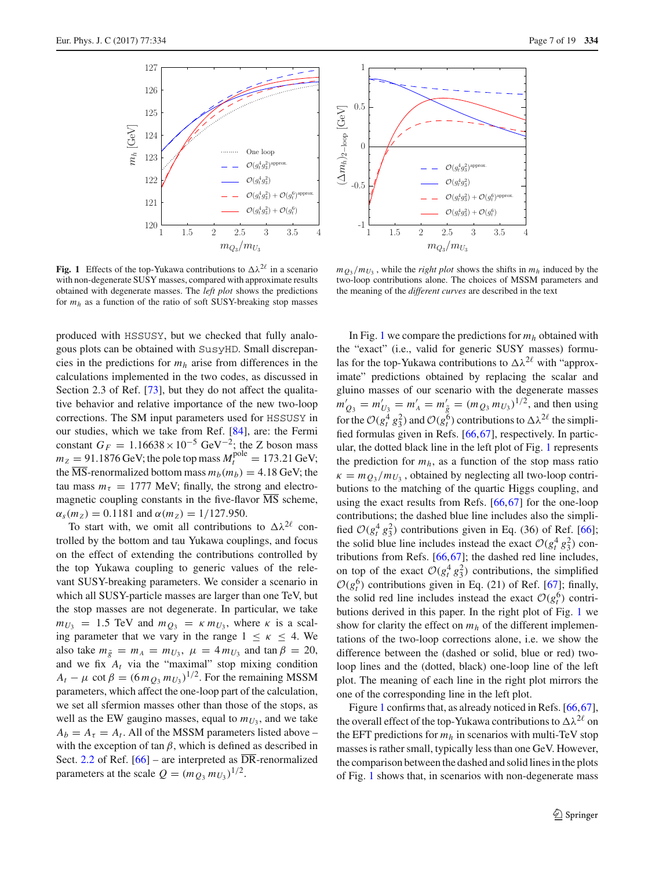

<span id="page-6-0"></span>**Fig. 1** Effects of the top-Yukawa contributions to  $\Delta \lambda^{2\ell}$  in a scenario with non-degenerate SUSY masses, compared with approximate results obtained with degenerate masses. The *left plot* shows the predictions for  $m_h$  as a function of the ratio of soft SUSY-breaking stop masses

produced with HSSUSY, but we checked that fully analogous plots can be obtained with SusyHD. Small discrepancies in the predictions for  $m_h$  arise from differences in the calculations implemented in the two codes, as discussed in Section 2.3 of Ref. [\[73](#page-17-18)], but they do not affect the qualitative behavior and relative importance of the new two-loop corrections. The SM input parameters used for HSSUSY in our studies, which we take from Ref. [\[84\]](#page-17-30), are: the Fermi constant  $G_F = 1.16638 \times 10^{-5} \text{ GeV}^{-2}$ ; the Z boson mass  $m_Z = 91.1876$  GeV; the pole top mass  $M_t^{\text{pole}} = 173.21$  GeV; the  $\overline{\text{MS}}$ -renormalized bottom mass  $m_b(m_b) = 4.18 \text{ GeV}$ ; the tau mass  $m<sub>\tau</sub> = 1777$  MeV; finally, the strong and electromagnetic coupling constants in the five-flavor MS scheme,  $\alpha_s(m_Z) = 0.1181$  and  $\alpha(m_Z) = 1/127.950$ .

To start with, we omit all contributions to  $\Delta \lambda^{2\ell}$  controlled by the bottom and tau Yukawa couplings, and focus on the effect of extending the contributions controlled by the top Yukawa coupling to generic values of the relevant SUSY-breaking parameters. We consider a scenario in which all SUSY-particle masses are larger than one TeV, but the stop masses are not degenerate. In particular, we take  $m_{U_3}$  = 1.5 TeV and  $m_{\Omega_3}$  =  $\kappa m_{U_3}$ , where  $\kappa$  is a scaling parameter that we vary in the range  $1 \leq \kappa \leq 4$ . We also take  $m_{\tilde{g}} = m_A = m_{U_3}$ ,  $\mu = 4 m_{U_3}$  and tan  $\beta = 20$ , and we fix  $A_t$  via the "maximal" stop mixing condition  $A_t - \mu \cot \beta = (6 m_{Q_3} m_{U_3})^{1/2}$ . For the remaining MSSM parameters, which affect the one-loop part of the calculation, we set all sfermion masses other than those of the stops, as well as the EW gaugino masses, equal to  $m_{U_3}$ , and we take  $A_b = A_\tau = A_t$ . All of the MSSM parameters listed above – with the exception of tan  $\beta$ , which is defined as described in Sect. [2.2](#page-5-0) of Ref.  $[66]$  $[66]$  – are interpreted as  $\overline{DR}$ -renormalized parameters at the scale  $Q = (m_Q, m_{U_3})^{1/2}$ .



 $m_{Q_3}/m_{U_3}$ , while the *right plot* shows the shifts in  $m_h$  induced by the two-loop contributions alone. The choices of MSSM parameters and the meaning of the *different curves* are described in the text

In Fig. [1](#page-6-0) we compare the predictions for  $m_h$  obtained with the "exact" (i.e., valid for generic SUSY masses) formulas for the top-Yukawa contributions to  $\Delta \lambda^{2\ell}$  with "approximate" predictions obtained by replacing the scalar and gluino masses of our scenario with the degenerate masses  $m'_{Q_3} = m'_{U_3} = m'_A = m'_{\tilde{g}} = (m_{Q_3} m_{U_3})^{1/2}$ , and then using for the  $\mathcal{O}(g_t^4 g_3^2)$  and  $\mathcal{O}(g_t^6)$  contributions to  $\Delta \lambda^{2\ell}$  the simplified formulas given in Refs. [\[66](#page-17-21),[67\]](#page-17-12), respectively. In particular, the dotted black line in the left plot of Fig. [1](#page-6-0) represents the prediction for  $m_h$ , as a function of the stop mass ratio  $\kappa = m_{Q_3}/m_{U_3}$ , obtained by neglecting all two-loop contributions to the matching of the quartic Higgs coupling, and using the exact results from Refs. [\[66](#page-17-21)[,67](#page-17-12)] for the one-loop contributions; the dashed blue line includes also the simplified  $\mathcal{O}(g_t^4 g_3^2)$  contributions given in Eq. (36) of Ref. [\[66](#page-17-21)]; the solid blue line includes instead the exact  $O(g_t^4 g_3^2)$  contributions from Refs. [\[66,](#page-17-21)[67\]](#page-17-12); the dashed red line includes, on top of the exact  $O(g_t^4 g_3^2)$  contributions, the simplified  $O(g_t^6)$  contributions given in Eq. (21) of Ref. [\[67\]](#page-17-12); finally, the solid red line includes instead the exact  $O(g_t^6)$  contributions derived in this paper. In the right plot of Fig. [1](#page-6-0) we show for clarity the effect on  $m_h$  of the different implementations of the two-loop corrections alone, i.e. we show the difference between the (dashed or solid, blue or red) twoloop lines and the (dotted, black) one-loop line of the left plot. The meaning of each line in the right plot mirrors the one of the corresponding line in the left plot.

Figure [1](#page-6-0) confirms that, as already noticed in Refs. [\[66](#page-17-21)[,67](#page-17-12)], the overall effect of the top-Yukawa contributions to  $\Delta \lambda^{2\ell}$  on the EFT predictions for  $m_h$  in scenarios with multi-TeV stop masses is rather small, typically less than one GeV. However, the comparison between the dashed and solid lines in the plots of Fig. [1](#page-6-0) shows that, in scenarios with non-degenerate mass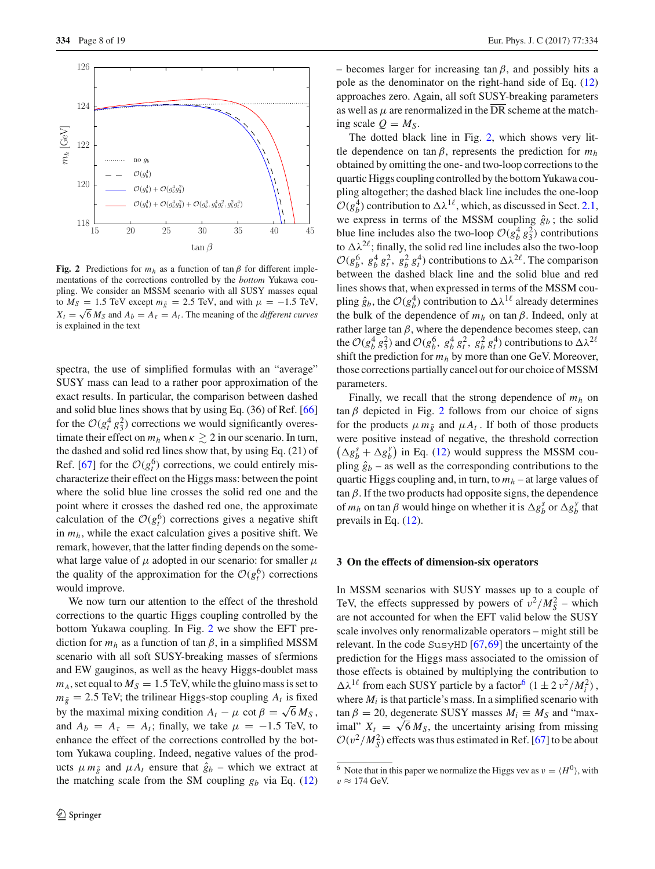

<span id="page-7-1"></span>**Fig. 2** Predictions for  $m_h$  as a function of tan  $\beta$  for different implementations of the corrections controlled by the *bottom* Yukawa coupling. We consider an MSSM scenario with all SUSY masses equal to  $M_S = 1.5$  TeV except  $m_{\tilde{g}} = 2.5$  TeV, and with  $\mu = -1.5$  TeV,  $X_t = \sqrt{6} M_s$  and  $A_b = A_\tau = A_t$ . The meaning of the *different curves* is explained in the text

spectra, the use of simplified formulas with an "average" SUSY mass can lead to a rather poor approximation of the exact results. In particular, the comparison between dashed and solid blue lines shows that by using Eq. (36) of Ref. [\[66\]](#page-17-21) for the  $O(g_t^4 g_3^2)$  corrections we would significantly overestimate their effect on  $m_h$  when  $\kappa \gtrsim 2$  in our scenario. In turn, the dashed and solid red lines show that, by using Eq. (21) of Ref. [\[67](#page-17-12)] for the  $O(g_t^6)$  corrections, we could entirely mischaracterize their effect on the Higgs mass: between the point where the solid blue line crosses the solid red one and the point where it crosses the dashed red one, the approximate calculation of the  $O(g_t^6)$  corrections gives a negative shift in *mh*, while the exact calculation gives a positive shift. We remark, however, that the latter finding depends on the somewhat large value of  $\mu$  adopted in our scenario: for smaller  $\mu$ the quality of the approximation for the  $O(g_t^6)$  corrections would improve.

We now turn our attention to the effect of the threshold corrections to the quartic Higgs coupling controlled by the bottom Yukawa coupling. In Fig. [2](#page-7-1) we show the EFT prediction for  $m_h$  as a function of tan  $\beta$ , in a simplified MSSM scenario with all soft SUSY-breaking masses of sfermions and EW gauginos, as well as the heavy Higgs-doublet mass  $m_A$ , set equal to  $M_S = 1.5$  TeV, while the gluino mass is set to  $m_{\tilde{g}} = 2.5$  TeV; the trilinear Higgs-stop coupling  $A_t$  is fixed by the maximal mixing condition  $A_t - \mu \cot \beta = \sqrt{6} M_S$ , and  $A_b = A_\tau = A_t$ ; finally, we take  $\mu = -1.5$  TeV, to enhance the effect of the corrections controlled by the bottom Yukawa coupling. Indeed, negative values of the products  $\mu m_{\tilde{g}}$  and  $\mu A_t$  ensure that  $\hat{g}_b$  – which we extract at the matching scale from the SM coupling  $g_b$  via Eq. [\(12\)](#page-5-2) – becomes larger for increasing tan  $\beta$ , and possibly hits a pole as the denominator on the right-hand side of Eq. [\(12\)](#page-5-2) approaches zero. Again, all soft SUSY-breaking parameters as well as  $\mu$  are renormalized in the  $\overline{DR}$  scheme at the matching scale  $Q = M<sub>S</sub>$ .

The dotted black line in Fig. [2,](#page-7-1) which shows very little dependence on tan  $\beta$ , represents the prediction for  $m_h$ obtained by omitting the one- and two-loop corrections to the quartic Higgs coupling controlled by the bottom Yukawa coupling altogether; the dashed black line includes the one-loop  $O(g_b^4)$  contribution to  $\Delta \lambda^{1\ell}$ , which, as discussed in Sect. [2.1,](#page-3-4) we express in terms of the MSSM coupling  $\hat{g}_b$ ; the solid blue line includes also the two-loop  $\mathcal{O}(g_b^4 g_3^2)$  contributions to  $\Delta \lambda^{2\ell}$ ; finally, the solid red line includes also the two-loop  $O(g_b^6, g_b^4 g_t^2, g_b^2 g_t^4)$  contributions to  $\Delta \lambda^{2\ell}$ . The comparison between the dashed black line and the solid blue and red lines shows that, when expressed in terms of the MSSM coupling  $\hat{g}_b$ , the  $O(g_b^4)$  contribution to  $\Delta \lambda^{1\ell}$  already determines the bulk of the dependence of  $m_h$  on tan  $\beta$ . Indeed, only at rather large tan  $\beta$ , where the dependence becomes steep, can the  $\mathcal{O}(g_b^4 g_3^2)$  and  $\mathcal{O}(g_b^6, g_b^4 g_t^2, g_b^2 g_t^4)$  contributions to  $\Delta \lambda^{2\ell}$ shift the prediction for  $m_h$  by more than one GeV. Moreover, those corrections partially cancel out for our choice of MSSM parameters.

Finally, we recall that the strong dependence of *mh* on tan β depicted in Fig. [2](#page-7-1) follows from our choice of signs for the products  $\mu m_{\tilde{g}}$  and  $\mu A_t$ . If both of those products were positive instead of negative, the threshold correction  $\left(\Delta g_b^s + \Delta g_b^y\right)$  in Eq. [\(12\)](#page-5-2) would suppress the MSSM coupling  $\hat{g}_b$  – as well as the corresponding contributions to the quartic Higgs coupling and, in turn, to  $m_h$  – at large values of tan  $\beta$ . If the two products had opposite signs, the dependence of  $m_h$  on tan  $\beta$  would hinge on whether it is  $\Delta g_b^s$  or  $\Delta g_b^Y$  that prevails in Eq. [\(12\)](#page-5-2).

#### <span id="page-7-0"></span>**3 On the effects of dimension-six operators**

In MSSM scenarios with SUSY masses up to a couple of TeV, the effects suppressed by powers of  $v^2/M_S^2$  – which are not accounted for when the EFT valid below the SUSY scale involves only renormalizable operators – might still be relevant. In the code  $SusyHD [67, 69]$  $SusyHD [67, 69]$  $SusyHD [67, 69]$  $SusyHD [67, 69]$  the uncertainty of the prediction for the Higgs mass associated to the omission of those effects is obtained by multiplying the contribution to  $\Delta \lambda^{1\ell}$  from each SUSY particle by a factor<sup>[6](#page-7-2)</sup>  $(1 \pm 2 v^2/M_i^2)$ , where  $M_i$  is that particle's mass. In a simplified scenario with  $\tan \beta = 20$ , degenerate SUSY masses  $M_i \equiv M_S$  and "maximal"  $X_t = \sqrt{6} M_s$ , the uncertainty arising from missing  $O(v^2/M_S^2)$  effects was thus estimated in Ref. [\[67\]](#page-17-12) to be about

<span id="page-7-2"></span><sup>&</sup>lt;sup>6</sup> Note that in this paper we normalize the Higgs vev as  $v = \langle H^0 \rangle$ , with  $v \approx 174$  GeV.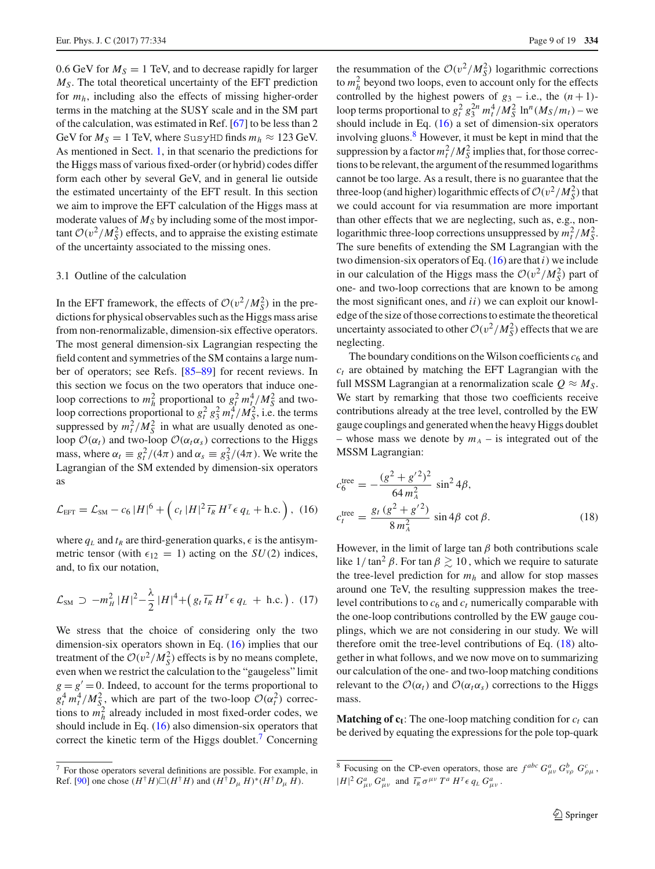0.6 GeV for  $M<sub>S</sub> = 1$  TeV, and to decrease rapidly for larger *MS*. The total theoretical uncertainty of the EFT prediction for *mh*, including also the effects of missing higher-order terms in the matching at the SUSY scale and in the SM part of the calculation, was estimated in Ref. [\[67](#page-17-12)] to be less than 2 GeV for  $M_S = 1$  TeV, where SusyHD finds  $m_h \approx 123$  GeV. As mentioned in Sect. [1,](#page-0-5) in that scenario the predictions for the Higgs mass of various fixed-order (or hybrid) codes differ form each other by several GeV, and in general lie outside the estimated uncertainty of the EFT result. In this section we aim to improve the EFT calculation of the Higgs mass at moderate values of  $M<sub>S</sub>$  by including some of the most impor- $\frac{\partial (v^2/M_S^2)}{\partial \theta}$  effects, and to appraise the existing estimate of the uncertainty associated to the missing ones.

### 3.1 Outline of the calculation

In the EFT framework, the effects of  $O(v^2/M_S^2)$  in the predictions for physical observables such as the Higgs mass arise from non-renormalizable, dimension-six effective operators. The most general dimension-six Lagrangian respecting the field content and symmetries of the SM contains a large number of operators; see Refs. [\[85](#page-17-31)[–89](#page-17-32)] for recent reviews. In this section we focus on the two operators that induce oneloop corrections to  $m_h^2$  proportional to  $g_t^2 m_t^4/M_S^2$  and twoloop corrections proportional to  $g_t^2 g_3^2 m_t^4 / M_S^2$ , i.e. the terms suppressed by  $m_t^2/M_S^2$  in what are usually denoted as oneloop  $\mathcal{O}(\alpha_t)$  and two-loop  $\mathcal{O}(\alpha_t \alpha_s)$  corrections to the Higgs mass, where  $\alpha_t \equiv g_t^2/(4\pi)$  and  $\alpha_s \equiv g_3^2/(4\pi)$ . We write the Lagrangian of the SM extended by dimension-six operators as

<span id="page-8-0"></span>
$$
\mathcal{L}_{\text{EFT}} = \mathcal{L}_{\text{SM}} - c_6 |H|^6 + \left( c_t |H|^2 \overline{t_R} H^T \epsilon q_L + \text{h.c.} \right), \tag{16}
$$

where  $q_L$  and  $t_R$  are third-generation quarks,  $\epsilon$  is the antisymmetric tensor (with  $\epsilon_{12} = 1$ ) acting on the *SU*(2) indices, and, to fix our notation,

$$
\mathcal{L}_{\text{SM}} \supset -m_H^2 |H|^2 - \frac{\lambda}{2} |H|^4 + \left( g_t \, \overline{t_R} \, H^T \epsilon \, q_L \; + \; \text{h.c.} \right). \tag{17}
$$

We stress that the choice of considering only the two dimension-six operators shown in Eq. [\(16\)](#page-8-0) implies that our treatment of the  $O(v^2/M_S^2)$  effects is by no means complete, even when we restrict the calculation to the "gaugeless" limit  $g = g' = 0$ . Indeed, to account for the terms proportional to  $g_t^4 m_t^4 / M_{S_2}^2$ , which are part of the two-loop  $\mathcal{O}(\alpha_t^2)$  corrections to  $\vec{m}_h^2$  already included in most fixed-order codes, we should include in Eq. [\(16\)](#page-8-0) also dimension-six operators that correct the kinetic term of the Higgs doublet.<sup>7</sup> Concerning

the resummation of the  $O(v^2/M_S^2)$  logarithmic corrections to  $m_h^2$  beyond two loops, even to account only for the effects controlled by the highest powers of  $g_3$  – i.e., the  $(n+1)$ loop terms proportional to  $g_t^2 g_3^{2n} m_t^4 / M_S^2 \ln^n(M_S/m_t)$  – we should include in Eq. [\(16\)](#page-8-0) a set of dimension-six operators involving gluons.[8](#page-8-2) However, it must be kept in mind that the suppression by a factor  $m_t^2/M_S^2$  implies that, for those corrections to be relevant, the argument of the resummed logarithms cannot be too large. As a result, there is no guarantee that the three-loop (and higher) logarithmic effects of  $\mathcal{O}(v^2/M_S^2)$  that we could account for via resummation are more important than other effects that we are neglecting, such as, e.g., nonlogarithmic three-loop corrections unsuppressed by  $m_t^2/M_S^2$ . The sure benefits of extending the SM Lagrangian with the two dimension-six operators of Eq. [\(16\)](#page-8-0) are that *i*) we include in our calculation of the Higgs mass the  $O(v^2/M_S^2)$  part of one- and two-loop corrections that are known to be among the most significant ones, and *ii*) we can exploit our knowledge of the size of those corrections to estimate the theoretical uncertainty associated to other  $O(v^2/M_S^2)$  effects that we are neglecting.

The boundary conditions on the Wilson coefficients  $c_6$  and  $c_t$  are obtained by matching the EFT Lagrangian with the full MSSM Lagrangian at a renormalization scale  $Q \approx M_S$ . We start by remarking that those two coefficients receive contributions already at the tree level, controlled by the EW gauge couplings and generated when the heavy Higgs doublet – whose mass we denote by  $m_A$  – is integrated out of the MSSM Lagrangian:

<span id="page-8-3"></span>
$$
c_{6}^{\text{tree}} = -\frac{(g^{2} + g^{\prime 2})^{2}}{64 m_{A}^{2}} \sin^{2} 4\beta,
$$
  
\n
$$
c_{t}^{\text{tree}} = \frac{g_{t} (g^{2} + g^{\prime 2})}{8 m_{A}^{2}} \sin 4\beta \cot \beta.
$$
 (18)

However, in the limit of large tan  $\beta$  both contributions scale like  $1/\tan^2 \beta$ . For tan  $\beta \gtrsim 10$ , which we require to saturate the tree-level prediction for  $m_h$  and allow for stop masses around one TeV, the resulting suppression makes the treelevel contributions to  $c_6$  and  $c_t$  numerically comparable with the one-loop contributions controlled by the EW gauge couplings, which we are not considering in our study. We will therefore omit the tree-level contributions of Eq. [\(18\)](#page-8-3) altogether in what follows, and we now move on to summarizing our calculation of the one- and two-loop matching conditions relevant to the  $\mathcal{O}(\alpha_t)$  and  $\mathcal{O}(\alpha_t \alpha_s)$  corrections to the Higgs mass.

**Matching of**  $c_t$ **:** The one-loop matching condition for  $c_t$  can be derived by equating the expressions for the pole top-quark

<span id="page-8-1"></span><sup>7</sup> For those operators several definitions are possible. For example, in Ref. [\[90\]](#page-17-33) one chose  $(H^{\dagger}H)\Box(H^{\dagger}H)$  and  $(H^{\dagger}D_{\mu}H)^*(H^{\dagger}D_{\mu}H)$ .

<span id="page-8-2"></span><sup>&</sup>lt;sup>8</sup> Focusing on the CP-even operators, those are  $f^{abc} G^a_{\mu\nu} G^b_{\nu\rho} G^c_{\rho\mu}$ ,  $|H|^2 G_{\mu\nu}^a G_{\mu\nu}^a$  and  $\overline{t_R} \sigma^{\mu\nu} T^a H^T \epsilon q_L G_{\mu\nu}^a$ .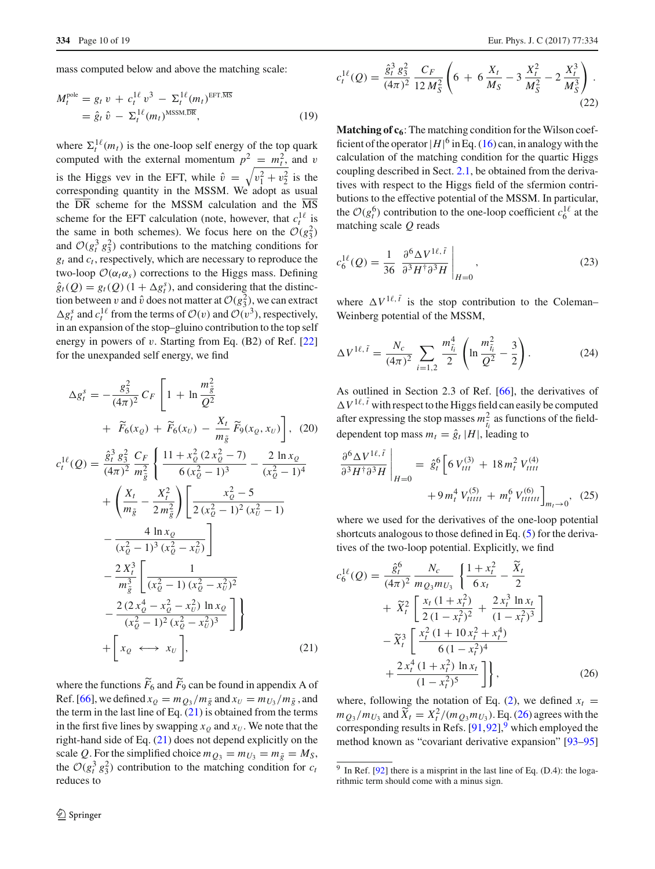mass computed below and above the matching scale:

$$
M_t^{\text{pole}} = g_t v + c_t^{\text{1}\ell} v^3 - \Sigma_t^{\text{1}\ell} (m_t)^{\text{EFT},\overline{\text{MS}}}
$$
  
=  $\hat{g}_t \hat{v} - \Sigma_t^{\text{1}\ell} (m_t)^{\text{MSSM},\overline{\text{DR}}},$  (19)

where  $\Sigma_t^{1\ell}(m_t)$  is the one-loop self energy of the top quark computed with the external momentum  $p^2 = m_t^2$ , and v is the Higgs vev in the EFT, while  $\hat{v} = \sqrt{v_1^2 + v_2^2}$  is the corresponding quantity in the MSSM. We adopt as usual the  $\overline{DR}$  scheme for the MSSM calculation and the  $\overline{MS}$ scheme for the EFT calculation (note, however, that  $c_t^{1\ell}$  is the same in both schemes). We focus here on the  $O(g_3^2)$ and  $O(g_t^3 g_3^2)$  contributions to the matching conditions for  $g_t$  and  $c_t$ , respectively, which are necessary to reproduce the two-loop  $\mathcal{O}(\alpha_t \alpha_s)$  corrections to the Higgs mass. Defining  $\hat{g}_t(Q) = g_t(Q) (1 + \Delta g_t^s)$ , and considering that the distinction between v and  $\hat{v}$  does not matter at  $\mathcal{O}(g_3^2)$ , we can extract  $\Delta g_t^s$  and  $c_t^{1\ell}$  from the terms of  $\mathcal{O}(v)$  and  $\mathcal{O}(v^3)$ , respectively, in an expansion of the stop–gluino contribution to the top self energy in powers of  $v$ . Starting from Eq. (B2) of Ref. [\[22\]](#page-16-8) for the unexpanded self energy, we find

<span id="page-9-0"></span>
$$
\Delta g_t^s = -\frac{g_3^2}{(4\pi)^2} C_F \left[ 1 + \ln \frac{m_{\tilde{g}}^2}{Q^2} + \tilde{F}_6(x_Q) + \tilde{F}_6(x_U) - \frac{X_t}{m_{\tilde{g}}} \tilde{F}_9(x_Q, x_U) \right], (20)
$$
  

$$
c_t^{1\ell}(Q) = \frac{\hat{g}_t^3 g_3^2 C_F}{(4\pi)^2 m_{\tilde{g}}^2} \left\{ \frac{11 + x_Q^2 (2x_Q^2 - 7)}{6(x_Q^2 - 1)^3} - \frac{2 \ln x_Q}{(x_Q^2 - 1)^4} + \left( \frac{X_t}{m_{\tilde{g}}} - \frac{X_t^2}{2m_{\tilde{g}}^2} \right) \left[ \frac{x_Q^2 - 5}{2(x_Q^2 - 1)^2 (x_U^2 - 1)} - \frac{4 \ln x_Q}{(x_Q^2 - 1)^3 (x_Q^2 - x_U^2)} \right] - \frac{2 X_t^3}{m_{\tilde{g}}^3} \left[ \frac{1}{(x_Q^2 - 1) (x_Q^2 - x_U^2)^2} - \frac{2(2x_Q^4 - x_Q^2 - x_U^2) \ln x_Q}{(x_Q^2 - 1)^2 (x_Q^2 - x_U^2)^3} \right] + \left[ x_Q \longleftrightarrow x_U \right], (21)
$$

where the functions  $F_6$  and  $F_9$  can be found in appendix A of Ref. [\[66\]](#page-17-21), we defined  $x_Q = m_{Q_3}/m_{\tilde{g}}$  and  $x_U = m_{U_3}/m_{\tilde{g}}$ , and the term in the last line of Eq.  $(21)$  is obtained from the terms in the first five lines by swapping  $x_0$  and  $x_0$ . We note that the right-hand side of Eq. [\(21\)](#page-9-0) does not depend explicitly on the scale *Q*. For the simplified choice  $m_{Q_3} = m_{U_3} = m_{\tilde{g}} = M_S$ , the  $O(g_t^3 g_3^2)$  contribution to the matching condition for  $c_t$ reduces to

 $(21)$ 

**Matching of**  $c_6$ **:** The matching condition for the Wilson coefficient of the operator  $|H|^6$  in Eq. [\(16\)](#page-8-0) can, in analogy with the calculation of the matching condition for the quartic Higgs coupling described in Sect. [2.1,](#page-3-4) be obtained from the derivatives with respect to the Higgs field of the sfermion contributions to the effective potential of the MSSM. In particular, the  $O(g_t^6)$  contribution to the one-loop coefficient  $c_6^{1\ell}$  at the matching scale *Q* reads

$$
c_6^{1\ell}(Q) = \frac{1}{36} \left. \frac{\partial^6 \Delta V^{1\ell, \tilde{t}}}{\partial^3 H^{\dagger} \partial^3 H} \right|_{H=0},
$$
\n(23)

where  $\Delta V^{1\ell, \tilde{t}}$  is the stop contribution to the Coleman– Weinberg potential of the MSSM,

$$
\Delta V^{1\ell, \tilde{t}} = \frac{N_c}{(4\pi)^2} \sum_{i=1,2} \frac{m_{\tilde{t}_i}^4}{2} \left( \ln \frac{m_{\tilde{t}_i}^2}{Q^2} - \frac{3}{2} \right). \tag{24}
$$

As outlined in Section 2.3 of Ref. [\[66](#page-17-21)], the derivatives of  $\Delta V^{1\ell, \tilde{t}}$  with respect to the Higgs field can easily be computed after expressing the stop masses  $m_{\tilde{t}_i}^2$  as functions of the fielddependent top mass  $m_t = \hat{g}_t |H|$ , leading to

<span id="page-9-3"></span>
$$
\left. \frac{\partial^6 \Delta V^{1\ell, \tilde{t}}}{\partial^3 H^{\dagger} \partial^3 H} \right|_{H=0} = \hat{g}_t^6 \left[ 6 V_{ttt}^{(3)} + 18 m_t^2 V_{tttt}^{(4)} + 9 m_t^4 V_{tttttt}^{(5)} + m_t^6 V_{tttttt}^{(6)} \right]_{m_t \to 0}, \tag{25}
$$

where we used for the derivatives of the one-loop potential shortcuts analogous to those defined in Eq. [\(5\)](#page-3-5) for the derivatives of the two-loop potential. Explicitly, we find

<span id="page-9-1"></span>
$$
c_6^{1\ell}(Q) = \frac{\hat{g}_t^6}{(4\pi)^2} \frac{N_c}{m_{Q_3}m_{U_3}} \left\{ \frac{1+x_t^2}{6x_t} - \frac{\widetilde{X}_t}{2} + \widetilde{X}_t^2 \left[ \frac{x_t(1+x_t^2)}{2(1-x_t^2)^2} + \frac{2x_t^3 \ln x_t}{(1-x_t^2)^3} \right] - \widetilde{X}_t^3 \left[ \frac{x_t^2(1+10x_t^2+x_t^4)}{6(1-x_t^2)^4} + \frac{2x_t^4(1+x_t^2) \ln x_t}{(1-x_t^2)^5} \right] \right\},
$$
(26)

where, following the notation of Eq.  $(2)$ , we defined  $x_t =$  $m_{Q_3}/m_{U_3}$  and  $\widetilde{X}_t = X_t^2/(m_{Q_3}m_{U_3})$ . Eq. [\(26\)](#page-9-1) agrees with the corresponding results in Refs.  $[91, 92]$  $[91, 92]$  $[91, 92]$  $[91, 92]$ , which employed the method known as "covariant derivative expansion" [\[93](#page-18-0)[–95\]](#page-18-1)

 $^{+}$ 

<span id="page-9-2"></span> $9 \text{ In }$  Ref. [\[92](#page-17-35)] there is a misprint in the last line of Eq. (D.4): the logarithmic term should come with a minus sign.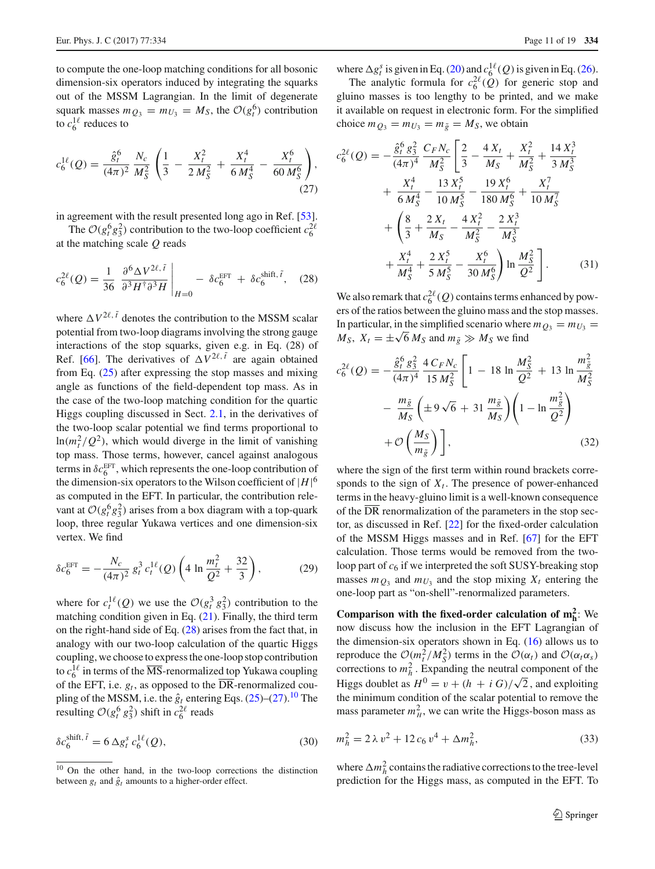to compute the one-loop matching conditions for all bosonic dimension-six operators induced by integrating the squarks out of the MSSM Lagrangian. In the limit of degenerate squark masses  $m_{Q_3} = m_{U_3} = M_S$ , the  $\mathcal{O}(g_t^6)$  contribution to  $c_6^{1\ell}$  reduces to

<span id="page-10-1"></span>
$$
c_6^{1\ell}(Q) = \frac{\hat{g}_t^6}{(4\pi)^2} \frac{N_c}{M_S^2} \left( \frac{1}{3} - \frac{X_t^2}{2 M_S^2} + \frac{X_t^4}{6 M_S^4} - \frac{X_t^6}{60 M_S^6} \right),\tag{27}
$$

in agreement with the result presented long ago in Ref. [\[53](#page-17-2)].

<span id="page-10-0"></span>The  $O(g_t^6 g_3^2)$  contribution to the two-loop coefficient  $c_6^{2\ell}$ at the matching scale *Q* reads

$$
c_6^{2\ell}(Q) = \frac{1}{36} \left. \frac{\partial^6 \Delta V^{2\ell, \tilde{t}}}{\partial^3 H^{\dagger} \partial^3 H} \right|_{H=0} - \delta c_6^{\text{EFT}} + \delta c_6^{\text{shift}, \tilde{t}}, \quad (28)
$$

where  $\Delta V^{2\ell, \tilde{t}}$  denotes the contribution to the MSSM scalar potential from two-loop diagrams involving the strong gauge interactions of the stop squarks, given e.g. in Eq. (28) of Ref. [\[66\]](#page-17-21). The derivatives of  $\Delta V^{2\ell, \tilde{t}}$  are again obtained from Eq.  $(25)$  after expressing the stop masses and mixing angle as functions of the field-dependent top mass. As in the case of the two-loop matching condition for the quartic Higgs coupling discussed in Sect. [2.1,](#page-3-4) in the derivatives of the two-loop scalar potential we find terms proportional to  $ln(m_t^2/Q^2)$ , which would diverge in the limit of vanishing top mass. Those terms, however, cancel against analogous terms in  $\delta c_6^{\text{EFT}}$ , which represents the one-loop contribution of the dimension-six operators to the Wilson coefficient of  $|H|^6$ as computed in the EFT. In particular, the contribution relevant at  $O(g_t^6 g_3^2)$  arises from a box diagram with a top-quark loop, three regular Yukawa vertices and one dimension-six vertex. We find

$$
\delta c_6^{\text{EFT}} = -\frac{N_c}{(4\pi)^2} g_t^3 c_t^{1\ell}(Q) \left( 4 \ln \frac{m_t^2}{Q^2} + \frac{32}{3} \right),\tag{29}
$$

where for  $c_t^{1\ell}(Q)$  we use the  $\mathcal{O}(g_t^3 g_3^2)$  contribution to the matching condition given in Eq.  $(21)$ . Finally, the third term on the right-hand side of Eq. [\(28\)](#page-10-0) arises from the fact that, in analogy with our two-loop calculation of the quartic Higgs coupling, we choose to express the one-loop stop contribution to  $c_6^{1\ell}$  in terms of the  $\overline{\text{MS}}$ -renormalized top Yukawa coupling of the EFT, i.e.  $g_t$ , as opposed to the  $\overline{DR}$ -renormalized coupling of the MSSM, i.e. the  $\hat{g}_t$  entering Eqs. [\(25\)](#page-9-3)–[\(27\)](#page-10-1).<sup>[10](#page-10-2)</sup> The resulting  $O(g_t^6 g_3^2)$  shift in  $c_6^{2\ell}$  reads

$$
\delta c_6^{\text{shift},\tilde{t}} = 6 \Delta g_t^s c_6^{1\ell}(\mathcal{Q}),\tag{30}
$$

where  $\Delta g_i^s$  is given in Eq. [\(20\)](#page-9-0) and  $c_6^{1\ell}(Q)$  is given in Eq. [\(26\)](#page-9-1).

The analytic formula for  $c_6^{2\ell}(\mathcal{Q})$  for generic stop and gluino masses is too lengthy to be printed, and we make it available on request in electronic form. For the simplified choice  $m_{Q_3} = m_{U_3} = m_{\tilde{g}} = M_S$ , we obtain

$$
c_6^{2\ell}(Q) = -\frac{\hat{g}_t^6 g_3^2}{(4\pi)^4} \frac{C_F N_c}{M_S^2} \left[ \frac{2}{3} - \frac{4X_t}{M_S} + \frac{X_t^2}{M_S^2} + \frac{14X_t^3}{3M_S^3} + \frac{X_t^4}{6M_S^4} - \frac{13X_t^5}{10M_S^5} - \frac{19X_t^6}{180M_S^6} + \frac{X_t^7}{10M_S^7} + \left( \frac{8}{3} + \frac{2X_t}{M_S} - \frac{4X_t^2}{M_S^2} - \frac{2X_t^3}{M_S^3} + \frac{X_t^4}{M_S^4} + \frac{2X_t^5}{5M_S^5} - \frac{X_t^6}{30M_S^6} \right) \ln \frac{M_S^2}{Q^2} \right].
$$
 (31)

We also remark that  $c_6^{2\ell}(Q)$  contains terms enhanced by powers of the ratios between the gluino mass and the stop masses. In particular, in the simplified scenario where  $m_{Q_3} = m_{U_3} =$  $M_S$ ,  $X_t = \pm \sqrt{6} M_S$  and  $m_{\tilde{g}} \gg M_S$  we find

$$
c_6^{2\ell}(Q) = -\frac{\hat{g}_t^6 g_3^2}{(4\pi)^4} \frac{4 C_F N_c}{15 M_S^2} \left[ 1 - 18 \ln \frac{M_S^2}{Q^2} + 13 \ln \frac{m_{\tilde{g}}^2}{M_S^2} - \frac{m_{\tilde{g}}}{M_S} \left( \pm 9 \sqrt{6} + 31 \frac{m_{\tilde{g}}}{M_S} \right) \left( 1 - \ln \frac{m_{\tilde{g}}^2}{Q^2} \right) + \mathcal{O} \left( \frac{M_S}{m_{\tilde{g}}} \right) \right],
$$
\n(32)

where the sign of the first term within round brackets corresponds to the sign of  $X_t$ . The presence of power-enhanced terms in the heavy-gluino limit is a well-known consequence of the  $\overline{DR}$  renormalization of the parameters in the stop sector, as discussed in Ref. [\[22\]](#page-16-8) for the fixed-order calculation of the MSSM Higgs masses and in Ref. [\[67\]](#page-17-12) for the EFT calculation. Those terms would be removed from the twoloop part of  $c_6$  if we interpreted the soft SUSY-breaking stop masses  $m_{Q_3}$  and  $m_{U_3}$  and the stop mixing  $X_t$  entering the one-loop part as "on-shell"-renormalized parameters.

**Comparison with the fixed-order calculation of**  $m_h^2$ **: We** now discuss how the inclusion in the EFT Lagrangian of the dimension-six operators shown in Eq.  $(16)$  allows us to reproduce the  $\mathcal{O}(m_t^2/M_S^2)$  terms in the  $\mathcal{O}(\alpha_t)$  and  $\mathcal{O}(\alpha_t \alpha_s)$ corrections to  $m_h^2$ . Expanding the neutral component of the Higgs doublet as  $H^0 = v + (h + i)G/\sqrt{2}$ , and exploiting the minimum condition of the scalar potential to remove the mass parameter  $m_H^2$ , we can write the Higgs-boson mass as

<span id="page-10-4"></span><span id="page-10-3"></span>
$$
m_h^2 = 2\lambda v^2 + 12c_6 v^4 + \Delta m_h^2,\tag{33}
$$

where  $\Delta m_h^2$  contains the radiative corrections to the tree-level prediction for the Higgs mass, as computed in the EFT. To

<span id="page-10-2"></span><sup>10</sup> On the other hand, in the two-loop corrections the distinction between  $g_t$  and  $\hat{g}_t$  amounts to a higher-order effect.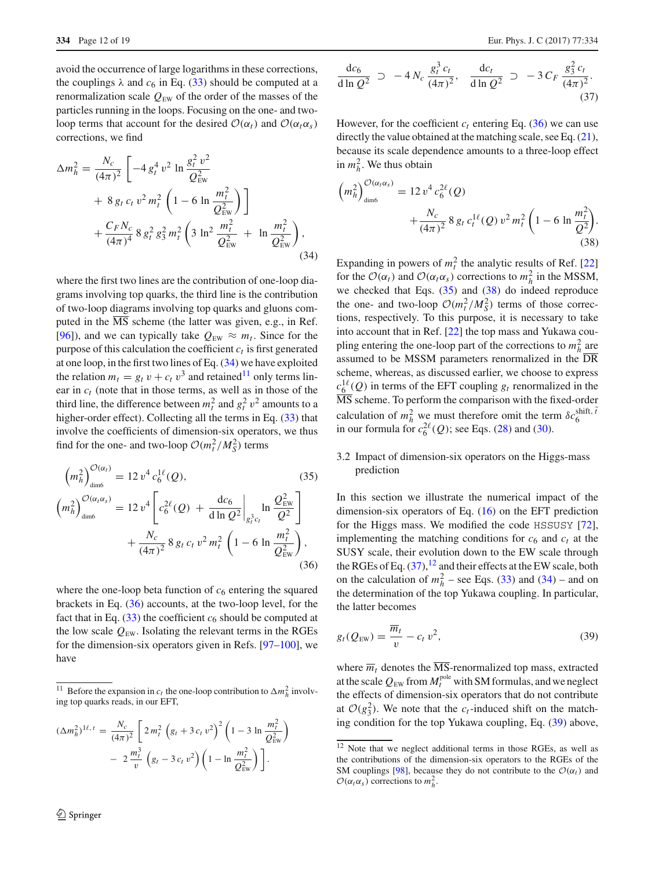avoid the occurrence of large logarithms in these corrections, the couplings  $\lambda$  and  $c_6$  in Eq. [\(33\)](#page-10-3) should be computed at a renormalization scale  $Q_{EW}$  of the order of the masses of the particles running in the loops. Focusing on the one- and twoloop terms that account for the desired  $\mathcal{O}(\alpha_t)$  and  $\mathcal{O}(\alpha_t \alpha_s)$ corrections, we find

<span id="page-11-0"></span>
$$
\Delta m_h^2 = \frac{N_c}{(4\pi)^2} \left[ -4 g_t^4 v^2 \ln \frac{g_t^2 v^2}{Q_{\text{EW}}^2} + 8 g_t c_t v^2 m_t^2 \left( 1 - 6 \ln \frac{m_t^2}{Q_{\text{EW}}^2} \right) \right] + \frac{C_F N_c}{(4\pi)^4} 8 g_t^2 g_3^2 m_t^2 \left( 3 \ln^2 \frac{m_t^2}{Q_{\text{EW}}^2} + \ln \frac{m_t^2}{Q_{\text{EW}}^2} \right), \tag{34}
$$

where the first two lines are the contribution of one-loop diagrams involving top quarks, the third line is the contribution of two-loop diagrams involving top quarks and gluons computed in the  $\overline{\text{MS}}$  scheme (the latter was given, e.g., in Ref. [\[96](#page-18-2)]), and we can typically take  $Q_{EW} \approx m_t$ . Since for the purpose of this calculation the coefficient  $c_t$  is first generated at one loop, in the first two lines of Eq. [\(34\)](#page-11-0) we have exploited the relation  $m_t = g_t v + c_t v^3$  and retained<sup>11</sup> only terms linear in  $c_t$  (note that in those terms, as well as in those of the third line, the difference between  $m_t^2$  and  $g_t^2 v^2$  amounts to a higher-order effect). Collecting all the terms in Eq. [\(33\)](#page-10-3) that involve the coefficients of dimension-six operators, we thus find for the one- and two-loop  $\mathcal{O}(m_t^2/M_S^2)$  terms

<span id="page-11-2"></span>
$$
\left(m_h^2\right)_{\text{dim6}}^{\mathcal{O}(\alpha_f)} = 12 v^4 c_6^{1\ell}(Q),\tag{35}
$$
\n
$$
\left(m_h^2\right)_{\text{dim6}}^{\mathcal{O}(\alpha_f \alpha_s)} = 12 v^4 \left[c_6^{2\ell}(Q) + \frac{\text{d}c_6}{\text{d}\ln Q^2}\Big|_{g_t^3 c_t} \ln \frac{Q_{\text{EW}}^2}{Q^2}\right] + \frac{N_c}{(4\pi)^2} 8 g_t c_t v^2 m_t^2 \left(1 - 6 \ln \frac{m_t^2}{Q_{\text{EW}}^2}\right),\tag{36}
$$

where the one-loop beta function of  $c<sub>6</sub>$  entering the squared brackets in Eq. [\(36\)](#page-11-2) accounts, at the two-loop level, for the fact that in Eq.  $(33)$  the coefficient  $c_6$  should be computed at the low scale  $Q_{EW}$ . Isolating the relevant terms in the RGEs for the dimension-six operators given in Refs. [\[97](#page-18-3)[–100](#page-18-4)], we have

$$
(\Delta m_h^2)^{1\ell, t} = \frac{N_c}{(4\pi)^2} \left[ 2 m_t^2 \left( g_t + 3 c_t v^2 \right)^2 \left( 1 - 3 \ln \frac{m_t^2}{Q_{\text{EW}}^2} \right) - 2 \frac{m_t^3}{v} \left( g_t - 3 c_t v^2 \right) \left( 1 - \ln \frac{m_t^2}{Q_{\text{EW}}^2} \right) \right].
$$

$$
\frac{dc_6}{d\ln Q^2} \supset -4N_c \frac{g_t^3 c_t}{(4\pi)^2}, \frac{dc_t}{d\ln Q^2} \supset -3C_F \frac{g_3^2 c_t}{(4\pi)^2}.
$$
\n(37)

However, for the coefficient  $c_t$  entering Eq. [\(36\)](#page-11-2) we can use directly the value obtained at the matching scale, see Eq. [\(21\)](#page-9-0), because its scale dependence amounts to a three-loop effect in  $m_h^2$ . We thus obtain

<span id="page-11-3"></span>
$$
\left(m_h^2\right)_{\text{dim}6}^{\mathcal{O}(\alpha_t \alpha_s)} = 12 v^4 c_6^{2\ell}(\mathcal{Q}) + \frac{N_c}{(4\pi)^2} 8 g_t c_t^{1\ell}(\mathcal{Q}) v^2 m_t^2 \left(1 - 6 \ln \frac{m_t^2}{\mathcal{Q}^2}\right).
$$
\n(38)

Expanding in powers of  $m_t^2$  the analytic results of Ref. [\[22\]](#page-16-8) for the  $O(\alpha_t)$  and  $O(\alpha_t \alpha_s)$  corrections to  $m_h^2$  in the MSSM, we checked that Eqs. [\(35\)](#page-11-2) and [\(38\)](#page-11-3) do indeed reproduce the one- and two-loop  $\mathcal{O}(m_t^2/M_S^2)$  terms of those corrections, respectively. To this purpose, it is necessary to take into account that in Ref. [\[22\]](#page-16-8) the top mass and Yukawa coupling entering the one-loop part of the corrections to  $m<sub>h</sub><sup>2</sup>$  are assumed to be MSSM parameters renormalized in the DR scheme, whereas, as discussed earlier, we choose to express  $c_6^{1\ell}(Q)$  in terms of the EFT coupling  $g_t$  renormalized in the MS scheme. To perform the comparison with the fixed-order calculation of  $m_h^2$  we must therefore omit the term  $\delta c_6^{\text{shift}, \hat{i}}$ in our formula for  $c_6^{2\ell}(Q)$ ; see Eqs. [\(28\)](#page-10-0) and [\(30\)](#page-10-4).

## 3.2 Impact of dimension-six operators on the Higgs-mass prediction

In this section we illustrate the numerical impact of the dimension-six operators of Eq. [\(16\)](#page-8-0) on the EFT prediction for the Higgs mass. We modified the code HSSUSY [\[72](#page-17-17)], implementing the matching conditions for  $c_6$  and  $c_t$  at the SUSY scale, their evolution down to the EW scale through the RGEs of Eq.  $(37)$ ,<sup>[12](#page-11-5)</sup> and their effects at the EW scale, both on the calculation of  $m_h^2$  – see Eqs. [\(33\)](#page-10-3) and [\(34\)](#page-11-0) – and on the determination of the top Yukawa coupling. In particular, the latter becomes

<span id="page-11-6"></span>
$$
g_t(Q_{\text{EW}}) = \frac{\overline{m}_t}{v} - c_t v^2, \tag{39}
$$

where  $\overline{m}_t$  denotes the  $\overline{\text{MS}}$ -renormalized top mass, extracted at the scale  $Q_{\text{EW}}$  from  $M_t^{\text{pole}}$  with SM formulas, and we neglect the effects of dimension-six operators that do not contribute at  $O(g_3^2)$ . We note that the *c<sub>t</sub>*-induced shift on the matching condition for the top Yukawa coupling, Eq. [\(39\)](#page-11-6) above,

<span id="page-11-4"></span><span id="page-11-1"></span><sup>&</sup>lt;sup>11</sup> Before the expansion in  $c_t$  the one-loop contribution to  $\Delta m_h^2$  involving top quarks reads, in our EFT,

<span id="page-11-5"></span> $12$  Note that we neglect additional terms in those RGEs, as well as the contributions of the dimension-six operators to the RGEs of the SM couplings [\[98](#page-18-5)], because they do not contribute to the  $\mathcal{O}(\alpha_t)$  and  $\mathcal{O}(\alpha_t \alpha_s)$  corrections to  $m_h^2$ .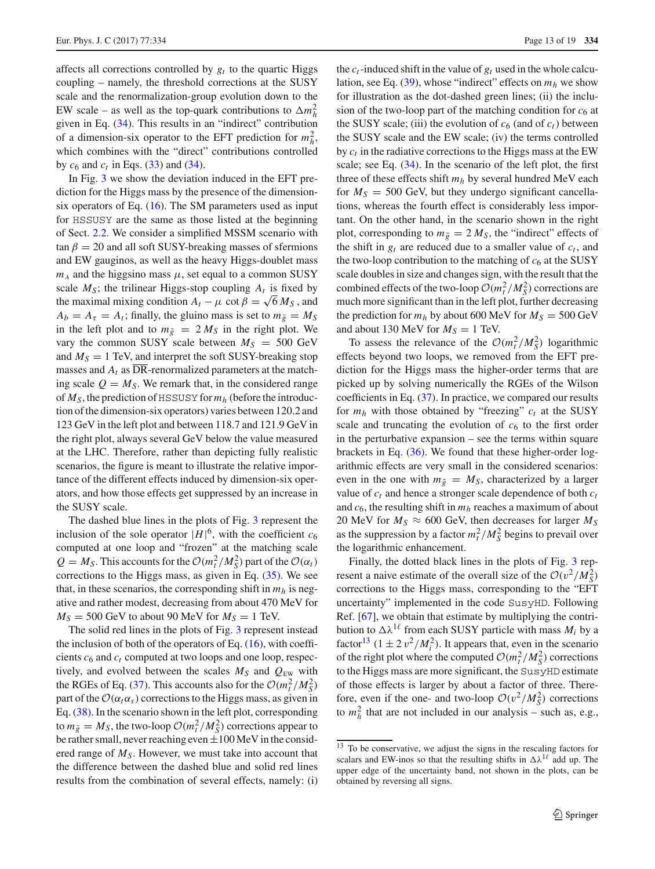affects all corrections controlled by  $g_t$  to the quartic Higgs coupling – namely, the threshold corrections at the SUSY scale and the renormalization-group evolution down to the EW scale – as well as the top-quark contributions to  $\Delta m_h^2$ given in Eq. [\(34\)](#page-11-0). This results in an "indirect" contribution of a dimension-six operator to the EFT prediction for  $m_h^2$ , which combines with the "direct" contributions controlled by  $c_6$  and  $c_7$  in Eqs. [\(33\)](#page-10-3) and [\(34\)](#page-11-0).

In Fig. [3](#page-13-0) we show the deviation induced in the EFT prediction for the Higgs mass by the presence of the dimensionsix operators of Eq.  $(16)$ . The SM parameters used as input for HSSUSY are the same as those listed at the beginning of Sect. [2.2.](#page-5-0) We consider a simplified MSSM scenario with  $\tan \beta = 20$  and all soft SUSY-breaking masses of sfermions and EW gauginos, as well as the heavy Higgs-doublet mass  $m_A$  and the higgsino mass  $\mu$ , set equal to a common SUSY scale  $M<sub>S</sub>$ ; the trilinear Higgs-stop coupling  $A<sub>t</sub>$  is fixed by the maximal mixing condition  $A_t - \mu$  cot  $\beta = \sqrt{6} M_s$ , and  $A_b = A_\tau = A_t$ ; finally, the gluino mass is set to  $m_{\tilde{g}} = M_S$ in the left plot and to  $m_{\tilde{g}} = 2 M_S$  in the right plot. We vary the common SUSY scale between  $M<sub>S</sub> = 500$  GeV and  $M<sub>S</sub> = 1$  TeV, and interpret the soft SUSY-breaking stop masses and  $A_t$  as  $\overline{DR}$ -renormalized parameters at the matching scale  $Q = M<sub>S</sub>$ . We remark that, in the considered range of *MS*, the prediction of HSSUSY for *mh* (before the introduction of the dimension-six operators) varies between 120.2 and 123 GeV in the left plot and between 118.7 and 121.9 GeV in the right plot, always several GeV below the value measured at the LHC. Therefore, rather than depicting fully realistic scenarios, the figure is meant to illustrate the relative importance of the different effects induced by dimension-six operators, and how those effects get suppressed by an increase in the SUSY scale.

The dashed blue lines in the plots of Fig. [3](#page-13-0) represent the inclusion of the sole operator  $|H|^6$ , with the coefficient  $c_6$ computed at one loop and "frozen" at the matching scale  $Q = M_S$ . This accounts for the  $\mathcal{O}(m_t^2/M_S^2)$  part of the  $\mathcal{O}(\alpha_t)$ corrections to the Higgs mass, as given in Eq.  $(35)$ . We see that, in these scenarios, the corresponding shift in  $m_h$  is negative and rather modest, decreasing from about 470 MeV for  $M_S = 500$  GeV to about 90 MeV for  $M_S = 1$  TeV.

The solid red lines in the plots of Fig. [3](#page-13-0) represent instead the inclusion of both of the operators of Eq.  $(16)$ , with coefficients  $c_6$  and  $c_t$  computed at two loops and one loop, respectively, and evolved between the scales  $M_S$  and  $Q_{EW}$  with the RGEs of Eq. [\(37\)](#page-11-4). This accounts also for the  $\mathcal{O}(m_t^2/M_S^2)$ part of the  $\mathcal{O}(\alpha_t \alpha_s)$  corrections to the Higgs mass, as given in Eq. [\(38\)](#page-11-3). In the scenario shown in the left plot, corresponding to  $m_{\tilde{g}} = M_S$ , the two-loop  $\mathcal{O}(m_t^2/M_S^2)$  corrections appear to be rather small, never reaching even  $\pm 100$  MeV in the considered range of *MS*. However, we must take into account that the difference between the dashed blue and solid red lines results from the combination of several effects, namely: (i) the  $c_t$ -induced shift in the value of  $g_t$  used in the whole calculation, see Eq.  $(39)$ , whose "indirect" effects on  $m_h$  we show for illustration as the dot-dashed green lines; (ii) the inclusion of the two-loop part of the matching condition for  $c<sub>6</sub>$  at the SUSY scale; (iii) the evolution of  $c_6$  (and of  $c_t$ ) between the SUSY scale and the EW scale; (iv) the terms controlled by  $c_t$  in the radiative corrections to the Higgs mass at the EW scale; see Eq. [\(34\)](#page-11-0). In the scenario of the left plot, the first three of these effects shift  $m_h$  by several hundred MeV each for  $M<sub>S</sub> = 500$  GeV, but they undergo significant cancellations, whereas the fourth effect is considerably less important. On the other hand, in the scenario shown in the right plot, corresponding to  $m_{\tilde{g}} = 2 M_S$ , the "indirect" effects of the shift in  $g_t$  are reduced due to a smaller value of  $c_t$ , and the two-loop contribution to the matching of  $c_6$  at the SUSY scale doubles in size and changes sign, with the result that the combined effects of the two-loop  $\mathcal{O}(m_t^2/M_S^2)$  corrections are much more significant than in the left plot, further decreasing the prediction for  $m_h$  by about 600 MeV for  $M_s = 500$  GeV and about 130 MeV for  $M_S = 1$  TeV.

To assess the relevance of the  $O(m_t^2/M_S^2)$  logarithmic effects beyond two loops, we removed from the EFT prediction for the Higgs mass the higher-order terms that are picked up by solving numerically the RGEs of the Wilson coefficients in Eq. [\(37\)](#page-11-4). In practice, we compared our results for  $m_h$  with those obtained by "freezing"  $c_t$  at the SUSY scale and truncating the evolution of  $c<sub>6</sub>$  to the first order in the perturbative expansion – see the terms within square brackets in Eq. [\(36\)](#page-11-2). We found that these higher-order logarithmic effects are very small in the considered scenarios: even in the one with  $m_{\tilde{g}} = M_S$ , characterized by a larger value of  $c_t$  and hence a stronger scale dependence of both  $c_t$ and  $c_6$ , the resulting shift in  $m_h$  reaches a maximum of about 20 MeV for  $M_S \approx 600$  GeV, then decreases for larger  $M_S$ as the suppression by a factor  $m_t^2/M_S^2$  begins to prevail over the logarithmic enhancement.

Finally, the dotted black lines in the plots of Fig. [3](#page-13-0) represent a naive estimate of the overall size of the  $O(v^2/M_S^2)$ corrections to the Higgs mass, corresponding to the "EFT uncertainty" implemented in the code SusyHD. Following Ref. [\[67\]](#page-17-12), we obtain that estimate by multiplying the contribution to  $\Delta \lambda^{1\ell}$  from each SUSY particle with mass  $M_i$  by a factor<sup>[13](#page-12-0)</sup>  $(1 \pm 2 v^2/M_i^2)$ . It appears that, even in the scenario of the right plot where the computed  $\mathcal{O}(m_t^2/M_S^2)$  corrections to the Higgs mass are more significant, the SusyHD estimate of those effects is larger by about a factor of three. Therefore, even if the one- and two-loop  $\mathcal{O}(v^2/M_S^2)$  corrections to  $m_h^2$  that are not included in our analysis – such as, e.g.,

<span id="page-12-0"></span><sup>13</sup> To be conservative, we adjust the signs in the rescaling factors for scalars and EW-inos so that the resulting shifts in  $\Delta \lambda^{1\ell}$  add up. The upper edge of the uncertainty band, not shown in the plots, can be obtained by reversing all signs.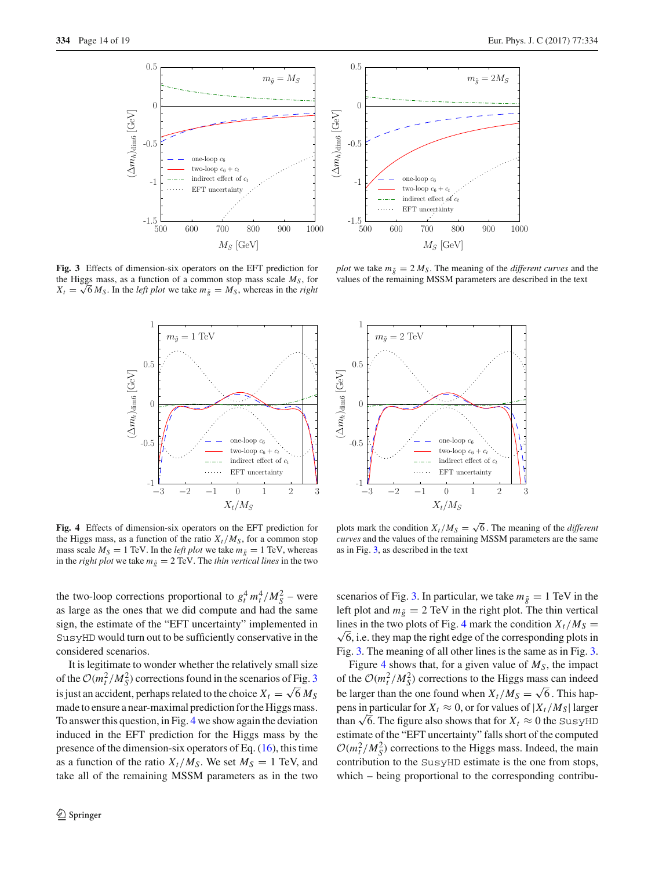$m_{\tilde{g}} = 2M_S$ 



<span id="page-13-0"></span>**Fig. 3** Effects of dimension-six operators on the EFT prediction for the Higgs mass, as a function of a common stop mass scale  $M_S$ , for  $X_t = \sqrt{6} M_s$ . In the *left plot* we take  $m_{\tilde{g}} = M_s$ , whereas in the *right* 



<span id="page-13-1"></span>**Fig. 4** Effects of dimension-six operators on the EFT prediction for the Higgs mass, as a function of the ratio  $X_t/M_s$ , for a common stop mass scale  $M_S = 1$  TeV. In the *left plot* we take  $m_{\tilde{g}} = 1$  TeV, whereas in the *right plot* we take  $m_{\tilde{g}} = 2 \text{ TeV}$ . The *thin vertical lines* in the two

the two-loop corrections proportional to  $g_t^4 m_t^4 / M_S^2$  – were as large as the ones that we did compute and had the same sign, the estimate of the "EFT uncertainty" implemented in SusyHD would turn out to be sufficiently conservative in the considered scenarios.

It is legitimate to wonder whether the relatively small size of the  $\mathcal{O}(m_t^2/M_S^2)$  corrections found in the scenarios of Fig. [3](#page-13-0) is just an accident, perhaps related to the choice  $X_t = \sqrt{6} M_S$ made to ensure a near-maximal prediction for the Higgs mass. To answer this question, in Fig. [4](#page-13-1) we show again the deviation induced in the EFT prediction for the Higgs mass by the presence of the dimension-six operators of Eq. [\(16\)](#page-8-0), this time as a function of the ratio  $X_t / M_S$ . We set  $M_S = 1$  TeV, and take all of the remaining MSSM parameters as in the two



500 600 700 800 900 1000  $M_S$  [GeV]

*plot* we take  $m_{\tilde{g}} = 2 M_S$ . The meaning of the *different curves* and the values of the remaining MSSM parameters are described in the text

one-loop  $c_6$ two-loop  $c_6 + c_4$ indirect effect of <sup>c</sup>*<sup>t</sup>* EFT uncertainty

 $-1.5$  L<br>500

-1

-0.5

 $\mathbf{0}$ 

0.5

plots mark the condition  $X_t/M_s = \sqrt{6}$ . The meaning of the *different curves* and the values of the remaining MSSM parameters are the same as in Fig. [3,](#page-13-0) as described in the text

scenarios of Fig. [3.](#page-13-0) In particular, we take  $m_{\tilde{g}} = 1$  TeV in the left plot and  $m_{\tilde{g}} = 2 \text{ TeV}$  in the right plot. The thin vertical lines in the two plots of Fig. [4](#page-13-1) mark the condition  $X_t/M_s =$  $\sqrt{6}$ , i.e. they map the right edge of the corresponding plots in Fig. [3.](#page-13-0) The meaning of all other lines is the same as in Fig. [3.](#page-13-0)

Figure [4](#page-13-1) shows that, for a given value of *MS*, the impact of the  $\mathcal{O}(m_t^2/M_S^2)$  corrections to the Higgs mass can indeed be larger than the one found when  $X_t/M_s = \sqrt{6}$ . This happens in particular for  $X_t \approx 0$ , or for values of  $|X_t/M_s|$  larger than  $\sqrt{6}$ . The figure also shows that for  $X_t \approx 0$  the SusyHD estimate of the "EFT uncertainty" falls short of the computed  $O(m_t^2/M_S^2)$  corrections to the Higgs mass. Indeed, the main contribution to the SusyHD estimate is the one from stops, which – being proportional to the corresponding contribu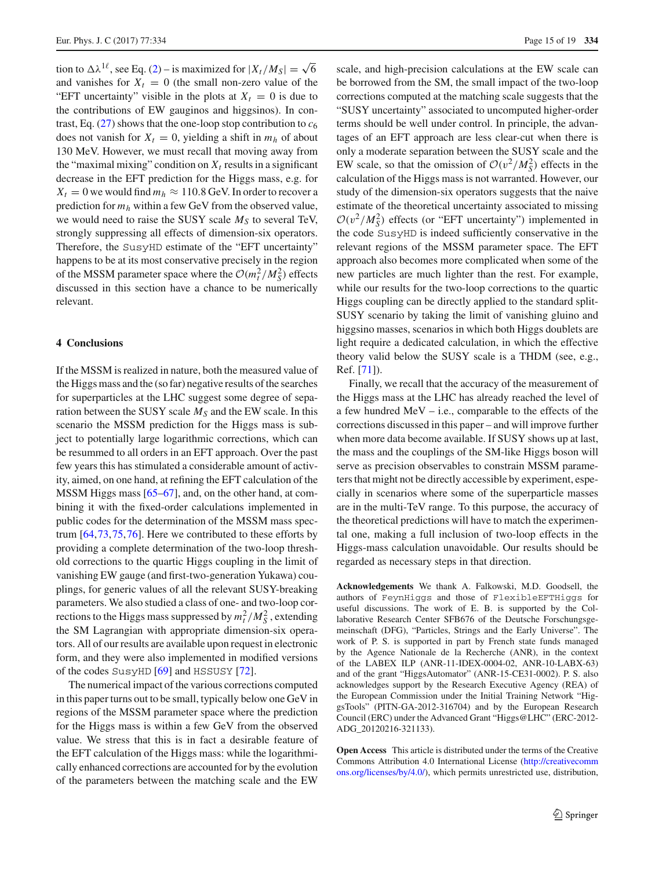tion to  $\Delta \lambda^{1\ell}$ , see Eq. [\(2\)](#page-2-1) – is maximized for  $|X_t/M_s| = \sqrt{6}$ and vanishes for  $X_t = 0$  (the small non-zero value of the "EFT uncertainty" visible in the plots at  $X_t = 0$  is due to the contributions of EW gauginos and higgsinos). In contrast, Eq.  $(27)$  shows that the one-loop stop contribution to  $c<sub>6</sub>$ does not vanish for  $X_t = 0$ , yielding a shift in  $m_h$  of about 130 MeV. However, we must recall that moving away from the "maximal mixing" condition on  $X_t$  results in a significant decrease in the EFT prediction for the Higgs mass, e.g. for  $X_t = 0$  we would find  $m_h \approx 110.8$  GeV. In order to recover a prediction for *mh* within a few GeV from the observed value, we would need to raise the SUSY scale  $M<sub>S</sub>$  to several TeV, strongly suppressing all effects of dimension-six operators. Therefore, the SusyHD estimate of the "EFT uncertainty" happens to be at its most conservative precisely in the region of the MSSM parameter space where the  $\mathcal{O}(m_t^2/M_S^2)$  effects discussed in this section have a chance to be numerically relevant.

#### **4 Conclusions**

If the MSSM is realized in nature, both the measured value of the Higgs mass and the (so far) negative results of the searches for superparticles at the LHC suggest some degree of separation between the SUSY scale  $M<sub>S</sub>$  and the EW scale. In this scenario the MSSM prediction for the Higgs mass is subject to potentially large logarithmic corrections, which can be resummed to all orders in an EFT approach. Over the past few years this has stimulated a considerable amount of activity, aimed, on one hand, at refining the EFT calculation of the MSSM Higgs mass [\[65](#page-17-11)[–67\]](#page-17-12), and, on the other hand, at combining it with the fixed-order calculations implemented in public codes for the determination of the MSSM mass spectrum [\[64,](#page-17-10)[73](#page-17-18)[,75](#page-17-20)[,76](#page-17-23)]. Here we contributed to these efforts by providing a complete determination of the two-loop threshold corrections to the quartic Higgs coupling in the limit of vanishing EW gauge (and first-two-generation Yukawa) couplings, for generic values of all the relevant SUSY-breaking parameters. We also studied a class of one- and two-loop corrections to the Higgs mass suppressed by  $m_t^2/M_S^2$ , extending the SM Lagrangian with appropriate dimension-six operators. All of our results are available upon request in electronic form, and they were also implemented in modified versions of the codes SusyHD [\[69](#page-17-14)] and HSSUSY [\[72\]](#page-17-17).

The numerical impact of the various corrections computed in this paper turns out to be small, typically below one GeV in regions of the MSSM parameter space where the prediction for the Higgs mass is within a few GeV from the observed value. We stress that this is in fact a desirable feature of the EFT calculation of the Higgs mass: while the logarithmically enhanced corrections are accounted for by the evolution of the parameters between the matching scale and the EW scale, and high-precision calculations at the EW scale can be borrowed from the SM, the small impact of the two-loop corrections computed at the matching scale suggests that the "SUSY uncertainty" associated to uncomputed higher-order terms should be well under control. In principle, the advantages of an EFT approach are less clear-cut when there is only a moderate separation between the SUSY scale and the EW scale, so that the omission of  $O(v^2/M_S^2)$  effects in the calculation of the Higgs mass is not warranted. However, our study of the dimension-six operators suggests that the naive estimate of the theoretical uncertainty associated to missing  $O(v^2/M_S^2)$  effects (or "EFT uncertainty") implemented in the code SusyHD is indeed sufficiently conservative in the relevant regions of the MSSM parameter space. The EFT approach also becomes more complicated when some of the new particles are much lighter than the rest. For example, while our results for the two-loop corrections to the quartic Higgs coupling can be directly applied to the standard split-SUSY scenario by taking the limit of vanishing gluino and higgsino masses, scenarios in which both Higgs doublets are light require a dedicated calculation, in which the effective theory valid below the SUSY scale is a THDM (see, e.g., Ref. [\[71\]](#page-17-16)).

Finally, we recall that the accuracy of the measurement of the Higgs mass at the LHC has already reached the level of a few hundred MeV – i.e., comparable to the effects of the corrections discussed in this paper – and will improve further when more data become available. If SUSY shows up at last, the mass and the couplings of the SM-like Higgs boson will serve as precision observables to constrain MSSM parameters that might not be directly accessible by experiment, especially in scenarios where some of the superparticle masses are in the multi-TeV range. To this purpose, the accuracy of the theoretical predictions will have to match the experimental one, making a full inclusion of two-loop effects in the Higgs-mass calculation unavoidable. Our results should be regarded as necessary steps in that direction.

**Acknowledgements** We thank A. Falkowski, M.D. Goodsell, the authors of FeynHiggs and those of FlexibleEFTHiggs for useful discussions. The work of E. B. is supported by the Collaborative Research Center SFB676 of the Deutsche Forschungsgemeinschaft (DFG), "Particles, Strings and the Early Universe". The work of P. S. is supported in part by French state funds managed by the Agence Nationale de la Recherche (ANR), in the context of the LABEX ILP (ANR-11-IDEX-0004-02, ANR-10-LABX-63) and of the grant "HiggsAutomator" (ANR-15-CE31-0002). P. S. also acknowledges support by the Research Executive Agency (REA) of the European Commission under the Initial Training Network "HiggsTools" (PITN-GA-2012-316704) and by the European Research Council (ERC) under the Advanced Grant "Higgs@LHC" (ERC-2012- ADG\_20120216-321133).

**Open Access** This article is distributed under the terms of the Creative Commons Attribution 4.0 International License [\(http://creativecomm](http://creativecommons.org/licenses/by/4.0/) [ons.org/licenses/by/4.0/\)](http://creativecommons.org/licenses/by/4.0/), which permits unrestricted use, distribution,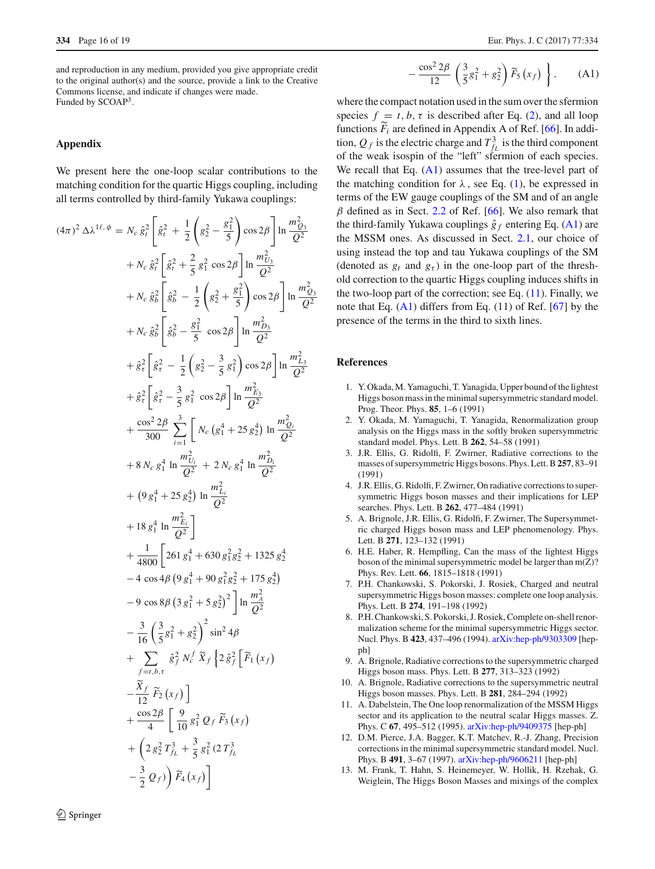and reproduction in any medium, provided you give appropriate credit to the original author(s) and the source, provide a link to the Creative Commons license, and indicate if changes were made. Funded by SCOAP3.

#### **Appendix**

We present here the one-loop scalar contributions to the matching condition for the quartic Higgs coupling, including all terms controlled by third-family Yukawa couplings:

<span id="page-15-5"></span>
$$
(4\pi)^{2} \Delta \lambda^{1\ell, \phi} = N_{c} \hat{g}_{t}^{2} \left[ \hat{g}_{t}^{2} + \frac{1}{2} \left( g_{2}^{2} - \frac{g_{1}^{2}}{5} \right) \cos 2\beta \right] \ln \frac{m_{Q_{3}}^{2}}{Q^{2}}
$$
  
+  $N_{c} \hat{g}_{t}^{2} \left[ \hat{g}_{t}^{2} + \frac{2}{5} g_{1}^{2} \cos 2\beta \right] \ln \frac{m_{U_{3}}^{2}}{Q^{2}}$   
+  $N_{c} \hat{g}_{b}^{2} \left[ \hat{g}_{b}^{2} - \frac{1}{2} \left( g_{2}^{2} + \frac{g_{1}^{2}}{5} \right) \cos 2\beta \right] \ln \frac{m_{Q_{3}}^{2}}{Q^{2}}$   
+  $N_{c} \hat{g}_{b}^{2} \left[ \hat{g}_{b}^{2} - \frac{1}{2} \left( g_{2}^{2} - \frac{3}{5} g_{1}^{2} \right) \cos 2\beta \right] \ln \frac{m_{Q_{3}}^{2}}{Q^{2}}$   
+  $\hat{g}_{t}^{2} \left[ \hat{g}_{t}^{2} - \frac{1}{2} \left( g_{2}^{2} - \frac{3}{5} g_{1}^{2} \right) \cos 2\beta \right] \ln \frac{m_{L_{3}}^{2}}{Q^{2}}$   
+  $\hat{g}_{t}^{2} \left[ \hat{g}_{t}^{2} - \frac{3}{5} g_{1}^{2} \cos 2\beta \right] \ln \frac{m_{E_{3}}^{2}}{Q^{2}}$   
+  $\hat{g}_{t}^{2} \left[ \hat{g}_{t}^{2} - \frac{3}{5} g_{1}^{2} \cos 2\beta \right] \ln \frac{m_{E_{3}}^{2}}{Q^{2}}$   
+  $8 N_{c} g_{1}^{4} \ln \frac{m_{U_{i}}^{2}}{Q^{2}} + 2 N_{c} g_{1}^{4} \ln \frac{m_{Q_{i}}^{2}}{Q^{2}}$   
+  $18 g_{1}^{4} \ln \frac{m_{U_{i}}^{2}}{Q^{2}}$   
+  $18 g_{1}^{4} \ln \frac{m_{U_{i}}^{2}}{Q^{2}}$ <

$$
-\frac{\cos^2 2\beta}{12}\left(\frac{3}{5}g_1^2+g_2^2\right)\widetilde{F}_5\left(x_f\right)\bigg\},\qquad\text{(A1)}
$$

where the compact notation used in the sum over the sfermion species  $f = t, b, \tau$  is described after Eq. [\(2\)](#page-2-1), and all loop functions  $F_i$  are defined in Appendix A of Ref. [\[66\]](#page-17-21). In addition,  $Q_f$  is the electric charge and  $T_{f_L}^3$  is the third component of the weak isospin of the "left" sfermion of each species. We recall that Eq.  $(A1)$  assumes that the tree-level part of the matching condition for  $\lambda$ , see Eq. [\(1\)](#page-2-2), be expressed in terms of the EW gauge couplings of the SM and of an angle  $\beta$  defined as in Sect. [2.2](#page-5-0) of Ref. [\[66\]](#page-17-21). We also remark that the third-family Yukawa couplings  $\hat{g}_f$  entering Eq. [\(A1\)](#page-15-5) are the MSSM ones. As discussed in Sect. [2.1,](#page-3-4) our choice of using instead the top and tau Yukawa couplings of the SM (denoted as  $g_t$  and  $g_{\tau}$ ) in the one-loop part of the threshold correction to the quartic Higgs coupling induces shifts in the two-loop part of the correction; see Eq.  $(11)$ . Finally, we note that Eq.  $(A1)$  differs from Eq.  $(11)$  of Ref. [\[67](#page-17-12)] by the presence of the terms in the third to sixth lines.

#### **References**

- <span id="page-15-0"></span>1. Y. Okada, M. Yamaguchi, T. Yanagida, Upper bound of the lightest Higgs boson mass in the minimal supersymmetric standard model. Prog. Theor. Phys. **85**, 1–6 (1991)
- 2. Y. Okada, M. Yamaguchi, T. Yanagida, Renormalization group analysis on the Higgs mass in the softly broken supersymmetric standard model. Phys. Lett. B **262**, 54–58 (1991)
- 3. J.R. Ellis, G. Ridolfi, F. Zwirner, Radiative corrections to the masses of supersymmetric Higgs bosons. Phys. Lett. B**257**, 83–91 (1991)
- 4. J.R. Ellis, G. Ridolfi, F. Zwirner, On radiative corrections to supersymmetric Higgs boson masses and their implications for LEP searches. Phys. Lett. B **262**, 477–484 (1991)
- 5. A. Brignole, J.R. Ellis, G. Ridolfi, F. Zwirner, The Supersymmetric charged Higgs boson mass and LEP phenomenology. Phys. Lett. B **271**, 123–132 (1991)
- <span id="page-15-1"></span>6. H.E. Haber, R. Hempfling, Can the mass of the lightest Higgs boson of the minimal supersymmetric model be larger than m(Z)? Phys. Rev. Lett. **66**, 1815–1818 (1991)
- <span id="page-15-2"></span>7. P.H. Chankowski, S. Pokorski, J. Rosiek, Charged and neutral supersymmetric Higgs boson masses: complete one loop analysis. Phys. Lett. B **274**, 191–198 (1992)
- 8. P.H. Chankowski, S. Pokorski, J. Rosiek, Complete on-shell renormalization scheme for the minimal supersymmetric Higgs sector. Nucl. Phys. B **423**, 437–496 (1994). [arXiv:hep-ph/9303309](http://arxiv.org/abs/hep-ph/9303309) [hepph]
- 9. A. Brignole, Radiative corrections to the supersymmetric charged Higgs boson mass. Phys. Lett. B **277**, 313–323 (1992)
- 10. A. Brignole, Radiative corrections to the supersymmetric neutral Higgs boson masses. Phys. Lett. B **281**, 284–294 (1992)
- 11. A. Dabelstein, The One loop renormalization of the MSSM Higgs sector and its application to the neutral scalar Higgs masses. Z. Phys. C **67**, 495–512 (1995). [arXiv:hep-ph/9409375](http://arxiv.org/abs/hep-ph/9409375) [hep-ph]
- <span id="page-15-4"></span>12. D.M. Pierce, J.A. Bagger, K.T. Matchev, R.-J. Zhang, Precision corrections in the minimal supersymmetric standard model. Nucl. Phys. B **491**, 3–67 (1997). [arXiv:hep-ph/9606211](http://arxiv.org/abs/hep-ph/9606211) [hep-ph]
- <span id="page-15-3"></span>13. M. Frank, T. Hahn, S. Heinemeyer, W. Hollik, H. Rzehak, G. Weiglein, The Higgs Boson Masses and mixings of the complex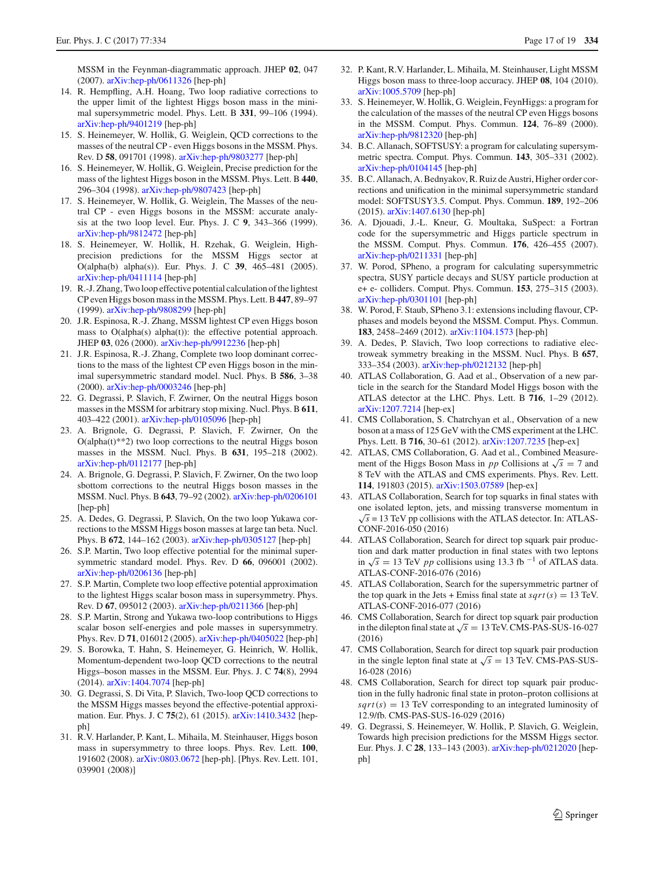MSSM in the Feynman-diagrammatic approach. JHEP **02**, 047 (2007). [arXiv:hep-ph/0611326](http://arxiv.org/abs/hep-ph/0611326) [hep-ph]

- <span id="page-16-0"></span>14. R. Hempfling, A.H. Hoang, Two loop radiative corrections to the upper limit of the lightest Higgs boson mass in the minimal supersymmetric model. Phys. Lett. B **331**, 99–106 (1994). [arXiv:hep-ph/9401219](http://arxiv.org/abs/hep-ph/9401219) [hep-ph]
- 15. S. Heinemeyer, W. Hollik, G. Weiglein, QCD corrections to the masses of the neutral CP - even Higgs bosons in the MSSM. Phys. Rev. D **58**, 091701 (1998). [arXiv:hep-ph/9803277](http://arxiv.org/abs/hep-ph/9803277) [hep-ph]
- 16. S. Heinemeyer, W. Hollik, G. Weiglein, Precise prediction for the mass of the lightest Higgs boson in the MSSM. Phys. Lett. B **440**, 296–304 (1998). [arXiv:hep-ph/9807423](http://arxiv.org/abs/hep-ph/9807423) [hep-ph]
- <span id="page-16-7"></span>17. S. Heinemeyer, W. Hollik, G. Weiglein, The Masses of the neutral CP - even Higgs bosons in the MSSM: accurate analysis at the two loop level. Eur. Phys. J. C **9**, 343–366 (1999). [arXiv:hep-ph/9812472](http://arxiv.org/abs/hep-ph/9812472) [hep-ph]
- <span id="page-16-24"></span>18. S. Heinemeyer, W. Hollik, H. Rzehak, G. Weiglein, Highprecision predictions for the MSSM Higgs sector at O(alpha(b) alpha(s)). Eur. Phys. J. C **39**, 465–481 (2005). [arXiv:hep-ph/0411114](http://arxiv.org/abs/hep-ph/0411114) [hep-ph]
- 19. R.-J. Zhang, Two loop effective potential calculation of the lightest CP even Higgs boson mass in the MSSM. Phys. Lett. B**447**, 89–97 (1999). [arXiv:hep-ph/9808299](http://arxiv.org/abs/hep-ph/9808299) [hep-ph]
- 20. J.R. Espinosa, R.-J. Zhang, MSSM lightest CP even Higgs boson mass to O(alpha(s) alpha(t)): the effective potential approach. JHEP **03**, 026 (2000). [arXiv:hep-ph/9912236](http://arxiv.org/abs/hep-ph/9912236) [hep-ph]
- <span id="page-16-23"></span>21. J.R. Espinosa, R.-J. Zhang, Complete two loop dominant corrections to the mass of the lightest CP even Higgs boson in the minimal supersymmetric standard model. Nucl. Phys. B **586**, 3–38 (2000). [arXiv:hep-ph/0003246](http://arxiv.org/abs/hep-ph/0003246) [hep-ph]
- <span id="page-16-8"></span>22. G. Degrassi, P. Slavich, F. Zwirner, On the neutral Higgs boson masses in the MSSM for arbitrary stop mixing. Nucl. Phys. B **611**, 403–422 (2001). [arXiv:hep-ph/0105096](http://arxiv.org/abs/hep-ph/0105096) [hep-ph]
- 23. A. Brignole, G. Degrassi, P. Slavich, F. Zwirner, On the  $O(\text{alpha}(t)$ <sup>\*\*</sup>2) two loop corrections to the neutral Higgs boson masses in the MSSM. Nucl. Phys. B **631**, 195–218 (2002). [arXiv:hep-ph/0112177](http://arxiv.org/abs/hep-ph/0112177) [hep-ph]
- <span id="page-16-25"></span>24. A. Brignole, G. Degrassi, P. Slavich, F. Zwirner, On the two loop sbottom corrections to the neutral Higgs boson masses in the MSSM. Nucl. Phys. B **643**, 79–92 (2002). [arXiv:hep-ph/0206101](http://arxiv.org/abs/hep-ph/0206101) [hep-ph]
- <span id="page-16-9"></span>25. A. Dedes, G. Degrassi, P. Slavich, On the two loop Yukawa corrections to the MSSM Higgs boson masses at large tan beta. Nucl. Phys. B **672**, 144–162 (2003). [arXiv:hep-ph/0305127](http://arxiv.org/abs/hep-ph/0305127) [hep-ph]
- 26. S.P. Martin, Two loop effective potential for the minimal supersymmetric standard model. Phys. Rev. D **66**, 096001 (2002). [arXiv:hep-ph/0206136](http://arxiv.org/abs/hep-ph/0206136) [hep-ph]
- <span id="page-16-1"></span>27. S.P. Martin, Complete two loop effective potential approximation to the lightest Higgs scalar boson mass in supersymmetry. Phys. Rev. D **67**, 095012 (2003). [arXiv:hep-ph/0211366](http://arxiv.org/abs/hep-ph/0211366) [hep-ph]
- <span id="page-16-2"></span>28. S.P. Martin, Strong and Yukawa two-loop contributions to Higgs scalar boson self-energies and pole masses in supersymmetry. Phys. Rev. D **71**, 016012 (2005). [arXiv:hep-ph/0405022](http://arxiv.org/abs/hep-ph/0405022) [hep-ph]
- <span id="page-16-10"></span>29. S. Borowka, T. Hahn, S. Heinemeyer, G. Heinrich, W. Hollik, Momentum-dependent two-loop QCD corrections to the neutral Higgs–boson masses in the MSSM. Eur. Phys. J. C **74**(8), 2994 (2014). [arXiv:1404.7074](http://arxiv.org/abs/1404.7074) [hep-ph]
- <span id="page-16-3"></span>30. G. Degrassi, S. Di Vita, P. Slavich, Two-loop QCD corrections to the MSSM Higgs masses beyond the effective-potential approximation. Eur. Phys. J. C **75**(2), 61 (2015). [arXiv:1410.3432](http://arxiv.org/abs/1410.3432) [hepph]
- <span id="page-16-4"></span>31. R.V. Harlander, P. Kant, L. Mihaila, M. Steinhauser, Higgs boson mass in supersymmetry to three loops. Phys. Rev. Lett. **100**, 191602 (2008). [arXiv:0803.0672](http://arxiv.org/abs/0803.0672) [hep-ph]. [Phys. Rev. Lett. 101, 039901 (2008)]
- <span id="page-16-5"></span>32. P. Kant, R.V. Harlander, L. Mihaila, M. Steinhauser, Light MSSM Higgs boson mass to three-loop accuracy. JHEP **08**, 104 (2010). [arXiv:1005.5709](http://arxiv.org/abs/1005.5709) [hep-ph]
- <span id="page-16-6"></span>33. S. Heinemeyer, W. Hollik, G. Weiglein, FeynHiggs: a program for the calculation of the masses of the neutral CP even Higgs bosons in the MSSM. Comput. Phys. Commun. **124**, 76–89 (2000). [arXiv:hep-ph/9812320](http://arxiv.org/abs/hep-ph/9812320) [hep-ph]
- <span id="page-16-11"></span>34. B.C. Allanach, SOFTSUSY: a program for calculating supersymmetric spectra. Comput. Phys. Commun. **143**, 305–331 (2002). [arXiv:hep-ph/0104145](http://arxiv.org/abs/hep-ph/0104145) [hep-ph]
- <span id="page-16-12"></span>35. B.C. Allanach, A. Bednyakov, R. Ruiz de Austri, Higher order corrections and unification in the minimal supersymmetric standard model: SOFTSUSY3.5. Comput. Phys. Commun. **189**, 192–206 (2015). [arXiv:1407.6130](http://arxiv.org/abs/1407.6130) [hep-ph]
- <span id="page-16-13"></span>36. A. Djouadi, J.-L. Kneur, G. Moultaka, SuSpect: a Fortran code for the supersymmetric and Higgs particle spectrum in the MSSM. Comput. Phys. Commun. **176**, 426–455 (2007). [arXiv:hep-ph/0211331](http://arxiv.org/abs/hep-ph/0211331) [hep-ph]
- <span id="page-16-14"></span>37. W. Porod, SPheno, a program for calculating supersymmetric spectra, SUSY particle decays and SUSY particle production at e+ e- colliders. Comput. Phys. Commun. **153**, 275–315 (2003). [arXiv:hep-ph/0301101](http://arxiv.org/abs/hep-ph/0301101) [hep-ph]
- <span id="page-16-15"></span>38. W. Porod, F. Staub, SPheno 3.1: extensions including flavour, CPphases and models beyond the MSSM. Comput. Phys. Commun. **183**, 2458–2469 (2012). [arXiv:1104.1573](http://arxiv.org/abs/1104.1573) [hep-ph]
- <span id="page-16-16"></span>39. A. Dedes, P. Slavich, Two loop corrections to radiative electroweak symmetry breaking in the MSSM. Nucl. Phys. B **657**, 333–354 (2003). [arXiv:hep-ph/0212132](http://arxiv.org/abs/hep-ph/0212132) [hep-ph]
- <span id="page-16-17"></span>40. ATLAS Collaboration, G. Aad et al., Observation of a new particle in the search for the Standard Model Higgs boson with the ATLAS detector at the LHC. Phys. Lett. B **716**, 1–29 (2012). [arXiv:1207.7214](http://arxiv.org/abs/1207.7214) [hep-ex]
- <span id="page-16-18"></span>41. CMS Collaboration, S. Chatrchyan et al., Observation of a new boson at a mass of 125 GeV with the CMS experiment at the LHC. Phys. Lett. B **716**, 30–61 (2012). [arXiv:1207.7235](http://arxiv.org/abs/1207.7235) [hep-ex]
- <span id="page-16-19"></span>42. ATLAS, CMS Collaboration, G. Aad et al., Combined Measurement of the Higgs Boson Mass in *pp* Collisions at  $\sqrt{s} = 7$  and 8 TeV with the ATLAS and CMS experiments. Phys. Rev. Lett. **114**, 191803 (2015). [arXiv:1503.07589](http://arxiv.org/abs/1503.07589) [hep-ex]
- <span id="page-16-20"></span>43. ATLAS Collaboration, Search for top squarks in final states with one isolated lepton, jets, and missing transverse momentum in  $\sqrt{s}$  = 13 TeV pp collisions with the ATLAS detector. In: ATLAS-CONF-2016-050 (2016)
- 44. ATLAS Collaboration, Search for direct top squark pair production and dark matter production in final states with two leptons in  $\sqrt{s}$  = 13 TeV *pp* collisions using 13.3 fb<sup>-1</sup> of ATLAS data. ATLAS-CONF-2016-076 (2016)
- 45. ATLAS Collaboration, Search for the supersymmetric partner of the top quark in the Jets + Emiss final state at  $sqrt(s) = 13$  TeV. ATLAS-CONF-2016-077 (2016)
- 46. CMS Collaboration, Search for direct top squark pair production in the dilepton final state at  $\sqrt{s}$  = 13 TeV. CMS-PAS-SUS-16-027 (2016)
- 47. CMS Collaboration, Search for direct top squark pair production in the single lepton final state at  $\sqrt{s}$  = 13 TeV. CMS-PAS-SUS-16-028 (2016)
- <span id="page-16-21"></span>48. CMS Collaboration, Search for direct top squark pair production in the fully hadronic final state in proton–proton collisions at  $sqrt(s) = 13$  TeV corresponding to an integrated luminosity of 12.9/fb. CMS-PAS-SUS-16-029 (2016)
- <span id="page-16-22"></span>49. G. Degrassi, S. Heinemeyer, W. Hollik, P. Slavich, G. Weiglein, Towards high precision predictions for the MSSM Higgs sector. Eur. Phys. J. C **28**, 133–143 (2003). [arXiv:hep-ph/0212020](http://arxiv.org/abs/hep-ph/0212020) [hepph]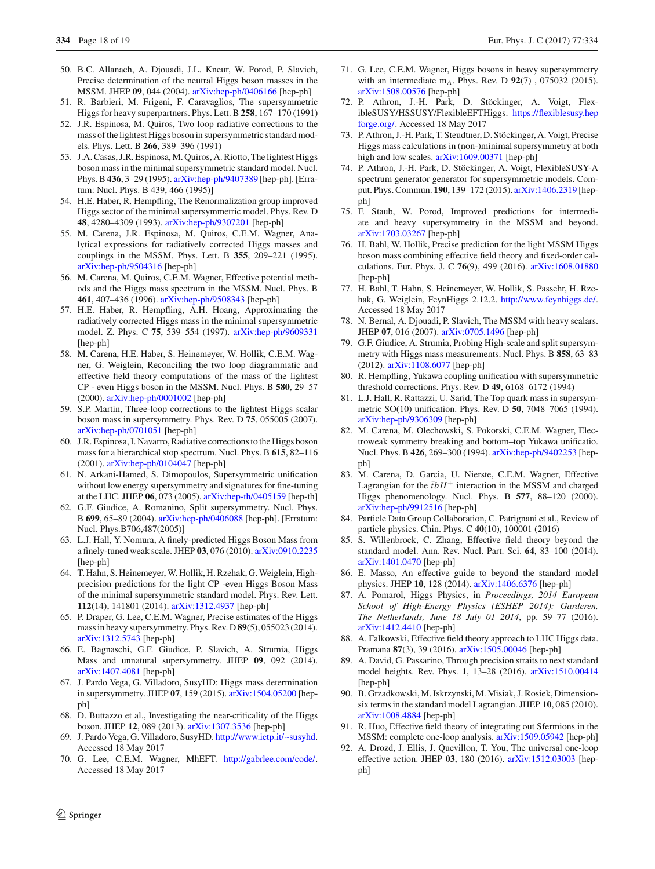- <span id="page-17-0"></span>50. B.C. Allanach, A. Djouadi, J.L. Kneur, W. Porod, P. Slavich, Precise determination of the neutral Higgs boson masses in the MSSM. JHEP **09**, 044 (2004). [arXiv:hep-ph/0406166](http://arxiv.org/abs/hep-ph/0406166) [hep-ph]
- <span id="page-17-1"></span>51. R. Barbieri, M. Frigeni, F. Caravaglios, The supersymmetric Higgs for heavy superpartners. Phys. Lett. B **258**, 167–170 (1991)
- 52. J.R. Espinosa, M. Quiros, Two loop radiative corrections to the mass of the lightest Higgs boson in supersymmetric standard models. Phys. Lett. B **266**, 389–396 (1991)
- <span id="page-17-2"></span>53. J.A. Casas, J.R. Espinosa, M. Quiros, A. Riotto, The lightest Higgs boson mass in the minimal supersymmetric standard model. Nucl. Phys. B**436**, 3–29 (1995). [arXiv:hep-ph/9407389](http://arxiv.org/abs/hep-ph/9407389) [hep-ph]. [Erratum: Nucl. Phys. B 439, 466 (1995)]
- <span id="page-17-3"></span>54. H.E. Haber, R. Hempfling, The Renormalization group improved Higgs sector of the minimal supersymmetric model. Phys. Rev. D **48**, 4280–4309 (1993). [arXiv:hep-ph/9307201](http://arxiv.org/abs/hep-ph/9307201) [hep-ph]
- <span id="page-17-4"></span>55. M. Carena, J.R. Espinosa, M. Quiros, C.E.M. Wagner, Analytical expressions for radiatively corrected Higgs masses and couplings in the MSSM. Phys. Lett. B **355**, 209–221 (1995). [arXiv:hep-ph/9504316](http://arxiv.org/abs/hep-ph/9504316) [hep-ph]
- 56. M. Carena, M. Quiros, C.E.M. Wagner, Effective potential methods and the Higgs mass spectrum in the MSSM. Nucl. Phys. B **461**, 407–436 (1996). [arXiv:hep-ph/9508343](http://arxiv.org/abs/hep-ph/9508343) [hep-ph]
- 57. H.E. Haber, R. Hempfling, A.H. Hoang, Approximating the radiatively corrected Higgs mass in the minimal supersymmetric model. Z. Phys. C **75**, 539–554 (1997). [arXiv:hep-ph/9609331](http://arxiv.org/abs/hep-ph/9609331) [hep-ph]
- <span id="page-17-5"></span>58. M. Carena, H.E. Haber, S. Heinemeyer, W. Hollik, C.E.M. Wagner, G. Weiglein, Reconciling the two loop diagrammatic and effective field theory computations of the mass of the lightest CP - even Higgs boson in the MSSM. Nucl. Phys. B **580**, 29–57 (2000). [arXiv:hep-ph/0001002](http://arxiv.org/abs/hep-ph/0001002) [hep-ph]
- <span id="page-17-6"></span>59. S.P. Martin, Three-loop corrections to the lightest Higgs scalar boson mass in supersymmetry. Phys. Rev. D **75**, 055005 (2007). [arXiv:hep-ph/0701051](http://arxiv.org/abs/hep-ph/0701051) [hep-ph]
- <span id="page-17-22"></span>60. J.R. Espinosa, I. Navarro, Radiative corrections to the Higgs boson mass for a hierarchical stop spectrum. Nucl. Phys. B **615**, 82–116 (2001). [arXiv:hep-ph/0104047](http://arxiv.org/abs/hep-ph/0104047) [hep-ph]
- <span id="page-17-7"></span>61. N. Arkani-Hamed, S. Dimopoulos, Supersymmetric unification without low energy supersymmetry and signatures for fine-tuning at the LHC. JHEP **06**, 073 (2005). [arXiv:hep-th/0405159](http://arxiv.org/abs/hep-th/0405159) [hep-th]
- <span id="page-17-8"></span>62. G.F. Giudice, A. Romanino, Split supersymmetry. Nucl. Phys. B **699**, 65–89 (2004). [arXiv:hep-ph/0406088](http://arxiv.org/abs/hep-ph/0406088) [hep-ph]. [Erratum: Nucl. Phys.B706,487(2005)]
- <span id="page-17-9"></span>63. L.J. Hall, Y. Nomura, A finely-predicted Higgs Boson Mass from a finely-tuned weak scale. JHEP **03**, 076 (2010). [arXiv:0910.2235](http://arxiv.org/abs/0910.2235) [hep-ph]
- <span id="page-17-10"></span>64. T. Hahn, S. Heinemeyer, W. Hollik, H. Rzehak, G. Weiglein, Highprecision predictions for the light CP -even Higgs Boson Mass of the minimal supersymmetric standard model. Phys. Rev. Lett. **112**(14), 141801 (2014). [arXiv:1312.4937](http://arxiv.org/abs/1312.4937) [hep-ph]
- <span id="page-17-11"></span>65. P. Draper, G. Lee, C.E.M. Wagner, Precise estimates of the Higgs mass in heavy supersymmetry. Phys. Rev. D **89**(5), 055023 (2014). [arXiv:1312.5743](http://arxiv.org/abs/1312.5743) [hep-ph]
- <span id="page-17-21"></span>66. E. Bagnaschi, G.F. Giudice, P. Slavich, A. Strumia, Higgs Mass and unnatural supersymmetry. JHEP **09**, 092 (2014). [arXiv:1407.4081](http://arxiv.org/abs/1407.4081) [hep-ph]
- <span id="page-17-12"></span>67. J. Pardo Vega, G. Villadoro, SusyHD: Higgs mass determination in supersymmetry. JHEP **07**, 159 (2015). [arXiv:1504.05200](http://arxiv.org/abs/1504.05200) [hepph]
- <span id="page-17-13"></span>68. D. Buttazzo et al., Investigating the near-criticality of the Higgs boson. JHEP **12**, 089 (2013). [arXiv:1307.3536](http://arxiv.org/abs/1307.3536) [hep-ph]
- <span id="page-17-14"></span>69. J. Pardo Vega, G. Villadoro, SusyHD. [http://www.ictp.it/~susyhd.](http://www.ictp.it/~susyhd) Accessed 18 May 2017
- <span id="page-17-15"></span>70. G. Lee, C.E.M. Wagner, MhEFT. [http://gabrlee.com/code/.](http://gabrlee.com/code/) Accessed 18 May 2017
- <span id="page-17-16"></span>71. G. Lee, C.E.M. Wagner, Higgs bosons in heavy supersymmetry with an intermediate m*A*. Phys. Rev. D **92**(7) , 075032 (2015). [arXiv:1508.00576](http://arxiv.org/abs/1508.00576) [hep-ph]
- <span id="page-17-17"></span>72. P. Athron, J.-H. Park, D. Stöckinger, A. Voigt, FlexibleSUSY/HSSUSY/FlexibleEFTHiggs. [https://flexiblesusy.hep](https://flexiblesusy.hepforge.org/) [forge.org/.](https://flexiblesusy.hepforge.org/) Accessed 18 May 2017
- <span id="page-17-18"></span>73. P. Athron, J.-H. Park, T. Steudtner, D. Stöckinger, A. Voigt, Precise Higgs mass calculations in (non-)minimal supersymmetry at both high and low scales.  $arXiv:1609.00371$  [hep-ph]
- <span id="page-17-19"></span>74. P. Athron, J.-H. Park, D. Stöckinger, A. Voigt, FlexibleSUSY-A spectrum generator generator for supersymmetric models. Comput. Phys. Commun. **190**, 139–172 (2015). [arXiv:1406.2319](http://arxiv.org/abs/1406.2319) [hepph]
- <span id="page-17-20"></span>75. F. Staub, W. Porod, Improved predictions for intermediate and heavy supersymmetry in the MSSM and beyond. [arXiv:1703.03267](http://arxiv.org/abs/1703.03267) [hep-ph]
- <span id="page-17-23"></span>76. H. Bahl, W. Hollik, Precise prediction for the light MSSM Higgs boson mass combining effective field theory and fixed-order calculations. Eur. Phys. J. C **76**(9), 499 (2016). [arXiv:1608.01880](http://arxiv.org/abs/1608.01880) [hep-ph]
- <span id="page-17-24"></span>77. H. Bahl, T. Hahn, S. Heinemeyer, W. Hollik, S. Passehr, H. Rzehak, G. Weiglein, FeynHiggs 2.12.2. [http://www.feynhiggs.de/.](http://www.feynhiggs.de/) Accessed 18 May 2017
- <span id="page-17-25"></span>78. N. Bernal, A. Djouadi, P. Slavich, The MSSM with heavy scalars. JHEP **07**, 016 (2007). [arXiv:0705.1496](http://arxiv.org/abs/0705.1496) [hep-ph]
- <span id="page-17-26"></span>79. G.F. Giudice, A. Strumia, Probing High-scale and split supersymmetry with Higgs mass measurements. Nucl. Phys. B **858**, 63–83 (2012). [arXiv:1108.6077](http://arxiv.org/abs/1108.6077) [hep-ph]
- <span id="page-17-27"></span>80. R. Hempfling, Yukawa coupling unification with supersymmetric threshold corrections. Phys. Rev. D **49**, 6168–6172 (1994)
- 81. L.J. Hall, R. Rattazzi, U. Sarid, The Top quark mass in supersymmetric SO(10) unification. Phys. Rev. D **50**, 7048–7065 (1994). [arXiv:hep-ph/9306309](http://arxiv.org/abs/hep-ph/9306309) [hep-ph]
- <span id="page-17-28"></span>82. M. Carena, M. Olechowski, S. Pokorski, C.E.M. Wagner, Electroweak symmetry breaking and bottom–top Yukawa unificatio. Nucl. Phys. B **426**, 269–300 (1994). [arXiv:hep-ph/9402253](http://arxiv.org/abs/hep-ph/9402253) [hepph]
- <span id="page-17-29"></span>83. M. Carena, D. Garcia, U. Nierste, C.E.M. Wagner, Effective Lagrangian for the  $\bar{t}bH^{+}$  interaction in the MSSM and charged Higgs phenomenology. Nucl. Phys. B **577**, 88–120 (2000). [arXiv:hep-ph/9912516](http://arxiv.org/abs/hep-ph/9912516) [hep-ph]
- <span id="page-17-30"></span>84. Particle Data Group Collaboration, C. Patrignani et al., Review of particle physics. Chin. Phys. C **40**(10), 100001 (2016)
- <span id="page-17-31"></span>85. S. Willenbrock, C. Zhang, Effective field theory beyond the standard model. Ann. Rev. Nucl. Part. Sci. **64**, 83–100 (2014). [arXiv:1401.0470](http://arxiv.org/abs/1401.0470) [hep-ph]
- 86. E. Masso, An effective guide to beyond the standard model physics. JHEP **10**, 128 (2014). [arXiv:1406.6376](http://arxiv.org/abs/1406.6376) [hep-ph]
- 87. A. Pomarol, Higgs Physics, in *Proceedings, 2014 European School of High-Energy Physics (ESHEP 2014): Garderen, The Netherlands, June 18–July 01 2014*, pp. 59–77 (2016). [arXiv:1412.4410](http://arxiv.org/abs/1412.4410) [hep-ph]
- 88. A. Falkowski, Effective field theory approach to LHC Higgs data. Pramana **87**(3), 39 (2016). [arXiv:1505.00046](http://arxiv.org/abs/1505.00046) [hep-ph]
- <span id="page-17-32"></span>89. A. David, G. Passarino, Through precision straits to next standard model heights. Rev. Phys. **1**, 13–28 (2016). [arXiv:1510.00414](http://arxiv.org/abs/1510.00414) [hep-ph]
- <span id="page-17-33"></span>90. B. Grzadkowski, M. Iskrzynski, M. Misiak, J. Rosiek, Dimensionsix terms in the standard model Lagrangian. JHEP **10**, 085 (2010). [arXiv:1008.4884](http://arxiv.org/abs/1008.4884) [hep-ph]
- <span id="page-17-34"></span>91. R. Huo, Effective field theory of integrating out Sfermions in the MSSM: complete one-loop analysis. [arXiv:1509.05942](http://arxiv.org/abs/1509.05942) [hep-ph]
- <span id="page-17-35"></span>92. A. Drozd, J. Ellis, J. Quevillon, T. You, The universal one-loop effective action. JHEP **03**, 180 (2016). [arXiv:1512.03003](http://arxiv.org/abs/1512.03003) [hepph]